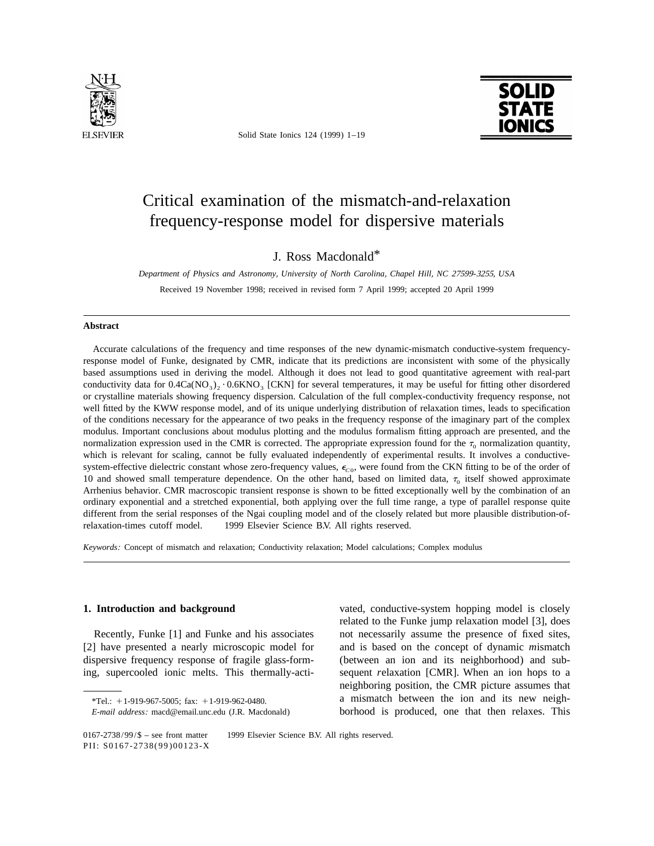

Solid State Ionics 124 (1999) 1–19



# Critical examination of the mismatch-and-relaxation frequency-response model for dispersive materials

J. Ross Macdonald\*

*Department of Physics and Astronomy*, *University of North Carolina*, *Chapel Hill*, *NC* <sup>27599</sup>-3255, *USA*

Received 19 November 1998; received in revised form 7 April 1999; accepted 20 April 1999

### **Abstract**

Accurate calculations of the frequency and time responses of the new dynamic-mismatch conductive-system frequencyresponse model of Funke, designated by CMR, indicate that its predictions are inconsistent with some of the physically based assumptions used in deriving the model. Although it does not lead to good quantitative agreement with real-part conductivity data for  $0.4Ca(NO<sub>3</sub>)<sub>2</sub> \cdot 0.6KNO<sub>3</sub>$  [CKN] for several temperatures, it may be useful for fitting other disordered or crystalline materials showing frequency dispersion. Calculation of the full complex-conductivity frequency response, not well fitted by the KWW response model, and of its unique underlying distribution of relaxation times, leads to specification of the conditions necessary for the appearance of two peaks in the frequency response of the imaginary part of the complex modulus. Important conclusions about modulus plotting and the modulus formalism fitting approach are presented, and the normalization expression used in the CMR is corrected. The appropriate expression found for the  $\tau_0$  normalization quantity, which is relevant for scaling, cannot be fully evaluated independently of experimental results. It involves a conductivesystem-effective dielectric constant whose zero-frequency values,  $\epsilon_{\text{CO}}$ , were found from the CKN fitting to be of the order of 10 and showed small temperature dependence. On the other hand, based on limited data,  $\tau_0$  itself showed approximate Arrhenius behavior. CMR macroscopic transient response is shown to be fitted exceptionally well by the combination of an ordinary exponential and a stretched exponential, both applying over the full time range, a type of parallel response quite different from the serial responses of the Ngai coupling model and of the closely related but more plausible distribution-ofrelaxation-times cutoff model.  $\circ$  1999 Elsevier Science B.V. All rights reserved.

*Keywords*: Concept of mismatch and relaxation; Conductivity relaxation; Model calculations; Complex modulus

**1. Introduction and background** vated, conductive-system hopping model is closely related to the Funke jump relaxation model [3], does Recently, Funke [1] and Funke and his associates not necessarily assume the presence of fixed sites, [2] have presented a nearly microscopic model for and is based on the *c*oncept of dynamic *m*ismatch dispersive frequency response of fragile glass-form- (between an ion and its neighborhood) and subing, supercooled ionic melts. This thermally-acti- sequent *r*elaxation [CMR]. When an ion hops to a neighboring position, the CMR picture assumes that  $*$ Tel.:  $+1.919-967-5005$ ; fax:  $+1.919-962-0480$ . a mismatch between the ion and its new neigh-*E*-*mail address*: macd@email.unc.edu (J.R. Macdonald) borhood is produced, one that then relaxes. This

<sup>0167-2738/99/\$ -</sup> see front matter © 1999 Elsevier Science B.V. All rights reserved. PII: S0167-2738(99)00123-X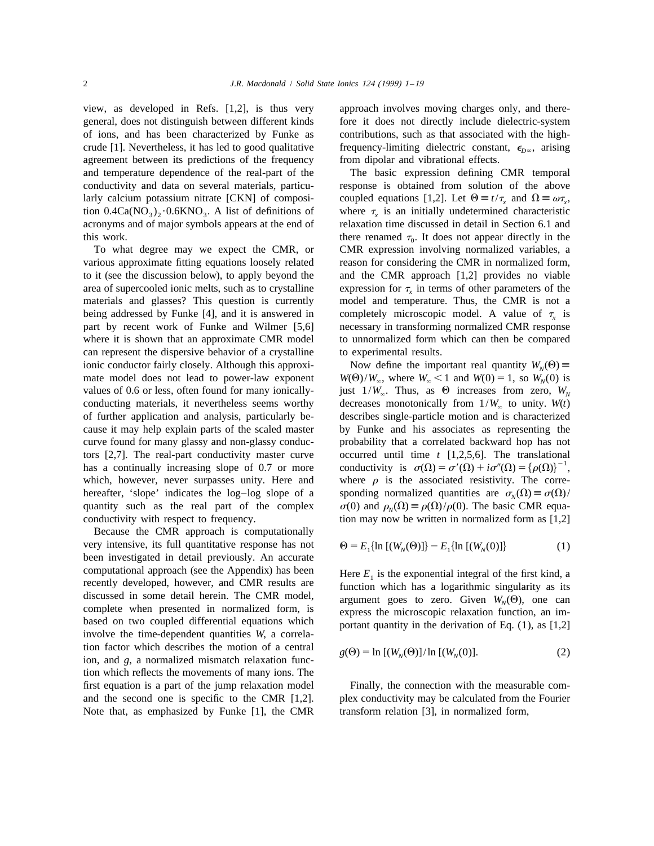view, as developed in Refs. [1,2], is thus very approach involves moving charges only, and theregeneral, does not distinguish between different kinds fore it does not directly include dielectric-system of ions, and has been characterized by Funke as contributions, such as that associated with the highcrude [1]. Nevertheless, it has led to good qualitative frequency-limiting dielectric constant,  $\epsilon_{D\infty}$ , arising agreement between its predictions of the frequency from dipolar and vibrational effects. agreement between its predictions of the frequency and temperature dependence of the real-part of the The basic expression defining CMR temporal conductivity and data on several materials, particu- response is obtained from solution of the above tion  $0.4Ca(NO<sub>3</sub>)<sub>2</sub> \cdot 0.6KNO<sub>3</sub>$ . A list of definitions of acronyms and of major symbols appears at the end of relaxation time discussed in detail in Section 6.1 and

various approximate fitting equations loosely related reason for considering the CMR in normalized form, to it (see the discussion below), to apply beyond the and the CMR approach [1,2] provides no viable area of supercooled ionic melts, such as to crystalline expression for  $\tau_x$  in terms of other parameters of the *materials* and glasses? This question is currently model and temperature. Thus, the CMR is not a materials and glasses? This question is currently being addressed by Funke [4], and it is answered in completely microscopic model. A value of  $\tau_x$  is part by recent work of Funke and Wilmer [5,6] necessary in transforming normalized CMR response where it is shown that an approximate CMR model to unnormalized form which can then be compared can represent the dispersive behavior of a crystalline to experimental results. ionic conductor fairly closely. Although this approxi-<br>mate model does not lead to power-law exponent  $W(\Theta)/W_n$ , where  $W_n < 1$  and  $W(0) = 1$ , so  $W_n(0)$  is mate model does not lead to power-law exponent values of 0.6 or less, often found for many ionicallyvalues of 0.6 or less, often found for many ionically-<br>conducting materials, it nevertheless seems worthy decreases monotonically from  $1/W_{\infty}$  to unity.  $W(t)$ conducting materials, it nevertheless seems worthy decreases monotonically from  $1/W_{\infty}$  to unity. *W*(*t*) of further application and analysis, particularly be-<br>describes single-particle motion and is characterized cause it may help explain parts of the scaled master by Funke and his associates as representing the curve found for many glassy and non-glassy conduc- probability that a correlated backward hop has not tors [2,7]. The real-part conductivity master curve occurred until time *t* [1,2,5,6]. The translational has a continually increasing slope of 0.7 or more conductivity is  $\sigma(\Omega) = \sigma'(\Omega) + i\sigma''(\Omega) = {\rho(\Omega)}^{-1}$ , which, however, never surpasses unity. Here and where  $\rho$  is the associated resistivity. The correhereafter, 'slope' indicates the log-log slope of a sponding normalized quantities are  $\sigma_N(\Omega) \equiv \sigma(\Omega)/$  quantity such as the real part of the complex  $\sigma(0)$  and  $\rho_N(\Omega) \equiv \rho(\Omega)/\rho(0)$ . The basic CMR equaquantity such as the real part of the complex conductivity with respect to frequency.

Because the CMR approach is computationally very intensive, its full quantitative response has not been investigated in detail previously. An accurate computational approach (see the Appendix) has been Here  $E_1$  is the exponential integral of the first kind, a 1 recently developed, however, and CMR results are  $E_1$  is the exponential integral of the first kind, a 1 re recently developed, however, and CMR results are<br>discussed in some detail herein. The CMR model,<br>complete when presented in normalized form, is<br>based on two coupled differential equations which<br>involve the time-dependent tion factor which describes the motion of a central *ion*, and *g*, a normalized mismatch relaxation function which reflects the movements of many ions. The first equation is a part of the jump relaxation model Finally, the connection with the measurable comand the second one is specific to the CMR [1,2]. plex conductivity may be calculated from the Fourier Note that, as emphasized by Funke [1], the CMR transform relation [3], in normalized form,

larly calcium potassium nitrate [CKN] of composi-<br>tion 0.4Ca(NO<sub>3</sub>), 0.6KNO<sub>3</sub>. A list of definitions of where  $\tau$ , is an initially undetermined characteristic this work.<br>To what degree may we expect the CMR, or  $\frac{1}{2}$  CMR expression involving normalized variables, a CMR expression involving normalized variables, a necessary in transforming normalized CMR response

> describes single-particle motion and is characterized tion may now be written in normalized form as  $[1,2]$

$$
\Theta = E_1\{\ln\left[(W_N(\Theta))\right] - E_1\{\ln\left[(W_N(0))\right]\}\tag{1}
$$

$$
g(\Theta) = \ln \left[ (W_N(\Theta)) / \ln \left[ (W_N(0)) \right] \right]. \tag{2}
$$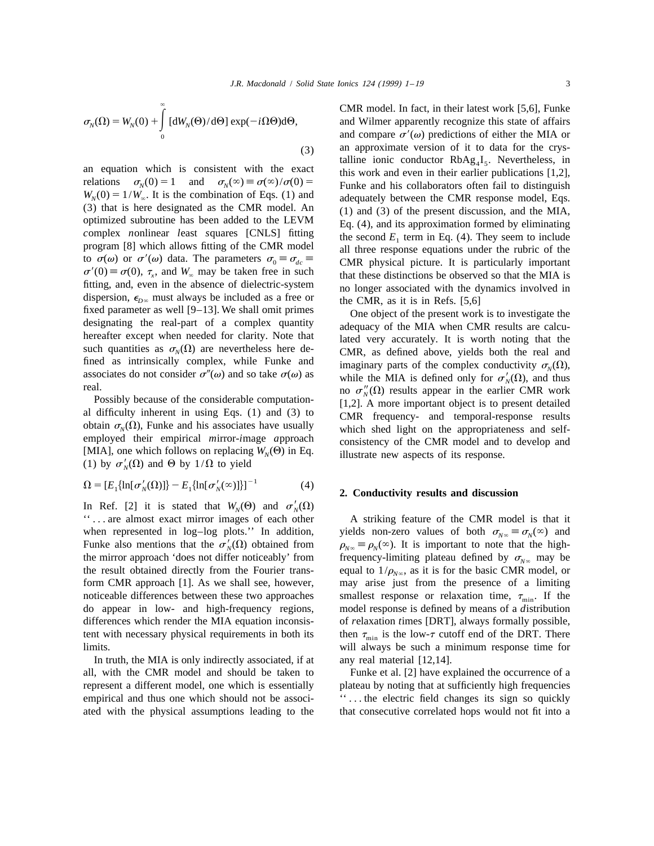$$
\sigma_N(\Omega) = W_N(0) + \int_0^\infty [dW_N(\Theta)/d\Theta] \exp(-i\Omega\Theta)d\Theta,
$$

*complex nonlinear least squares* [CNLS] fitting the second  $E_1$  term in Eq. (4). They seem to include program [8] which allows fitting of the CMR model all three response equations under the rubric of the to  $\sigma(\omega)$  or  $\sigma'(\omega)$  data. The parameters  $\sigma_0 \equiv \sigma_{dc} \equiv$  CMR physical picture. It is particularly important  $\sigma'(0) \equiv \sigma(0)$ ,  $\tau_x$ , and  $W_\infty$  may be taken free in such that these distinctions be observed so that the MIA is fitting, and, even in the absence of dielectric-system no longer associated with the dynamics involved in fitting, and, even in the absence of dielectric-system no longer associated with the dynamics involved in dispersion,  $\epsilon_{D^{\infty}}$  must always be included as a free or  $\epsilon_{D^{\infty}}$  the CMR, as it is in Refs. [5,6] fixed par fixed parameter as well [9-13]. We shall omit primes<br>designating the real-part of a complex quantity<br>hereafter except when needed for clarity. Note that<br>such quantities as  $\sigma_N(\Omega)$  are nevertheless here de-<br>fined as intri

(1) by  $\sigma'_N(\Omega)$  and  $\Theta$  by 1/ $\Omega$  to yield

$$
\Omega = [E_1 \{ \ln[\sigma_N'(\Omega)] \} - E_1 \{ \ln[\sigma_N'(\infty)] \} ]^{-1}
$$
 (4)

In Ref. [2] it is stated that  $W_N(\Theta)$  and  $\sigma'_N(\Omega)$ '' . . . are almost exact mirror images of each other A striking feature of the CMR model is that it when represented in log–log plots.'' In addition, yields non-zero values of both  $\sigma_{N\infty} \equiv \sigma_N(\infty)$  and Funke also mentions that the  $\sigma'_N(\Omega)$  obtained from  $\rho_{N\infty} \equiv \rho_N(\infty)$ . It is important to note that the highthe mirror approach 'does not differ noticeably' from frequency-limiting plateau defined by  $\sigma_{N^{\infty}}$  may be the result obtained directly from the Fourier trans-<br>equal to  $1/\rho_{N^{\infty}}$ , as it is for the basic CMR model, the result obtained directly from the Fourier trans-<br>form CMR approach [1]. As we shall see, however, may arise just from the presence of a limiting noticeable differences between these two approaches smallest response or relaxation time,  $\tau_{\min}$ . If the do appear in low- and high-frequency regions, model response is defined by means of a *d*istribution differences which render the MIA equation inconsis- of *r*elaxation *t*imes [DRT], always formally possible, tent with necessary physical requirements in both its then  $\tau_{\min}$  is the low- $\tau$  cutoff end of the DRT. There limits.<br>in is the low- $\tau$  cutoff end of the DRT. There limits.

In truth, the MIA is only indirectly associated, if at any real material  $[12,14]$ .

` CMR model. In fact, in their latest work [5,6], Funke and Wilmer apparently recognize this state of affairs and compare  $\sigma'(\omega)$  predictions of either the MIA or (3) an approximate version of it to data for the crys-<br>talline ionic conductor  $RbAg_4I_5$ . Nevertheless, in an equation which is consistent with the exact<br>relations  $\sigma_N(0) = 1$  and  $\sigma_N(\infty) = \sigma(\infty)/\sigma(0) =$ <br> $W_N(0) = 1/W_\infty$ . It is the combination of Eqs. (1) and<br>(3) that is here designated as the CMR model. An<br>optimized subroutine h all three response equations under the rubric of the

associates do not consider  $\sigma''(\omega)$  and so take  $\sigma(\omega)$  as<br>real.<br>*N* associates do not consider  $\sigma''(\omega)$  and so take  $\sigma(\omega)$  as<br>*N* and *NIA* is defined only for  $\sigma'_{N}(\Omega)$ , and thus<br>*NIA* is defined only for  $\sigma'_{N}(\Omega)$ real.<br>
Possibly because of the considerable computation-<br>
al difficulty inherent in using Eqs. (1) and (3) to<br>
botain  $\sigma_N(\Omega)$ , Funke and his associates have usually<br>
employed their empirical mirror-image approach<br>
[MIA],

## <sup>[1]</sup> 2. Conductivity results and discussion

 $\rho_{N^\infty} \equiv \rho_N(\infty)$ . It is important to note that the highmay arise just from the presence of a limiting will always be such a minimum response time for

all, with the CMR model and should be taken to Funke et al. [2] have explained the occurrence of a represent a different model, one which is essentially plateau by noting that at sufficiently high frequencies empirical and thus one which should not be associ-<br>  $\cdots$   $\cdots$  the electric field changes its sign so quickly ated with the physical assumptions leading to the that consecutive correlated hops would not fit into a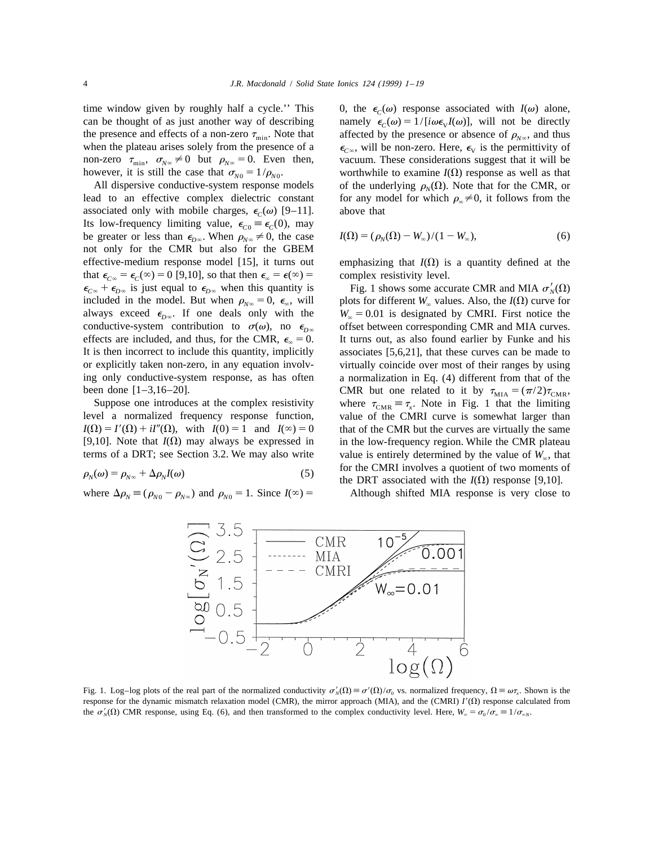when the plateau arises solely from the presence of a

associated only with mobile charges,  $\epsilon_c(\omega)$  [9–11]. Its low-frequency limiting value,  $\epsilon_{C0} \equiv \epsilon_C(0)$ , may be greater or less than  $\epsilon_{D\infty}$ . When  $\rho_{N\infty} \neq 0$ , the case not only for the CMR but also for the GBEM effective-medium response model [15], it turns out emphasizing that  $I(\Omega)$  is a quantity defined at the that  $\epsilon_{C\infty} = \epsilon_C(\infty) = 0$  [9,10], so that then  $\epsilon_{\infty} = \epsilon(\infty) =$  complex resistivity level.  $\epsilon_{C\infty} + \epsilon_{D\infty}$  is just equal to  $\epsilon_{D\infty}$  when this quantity is Fig. 1 shows some accurate CMR and MIA  $\sigma'_{N}(\Omega)$  included in the model. But when  $\rho_{N\infty} = 0$ ,  $\epsilon_{\infty}$ , will plots for different  $W_{\infty}$  values. conductive-system contribution to  $\sigma(\omega)$ , no  $\epsilon_{D\infty}$ 

$$
\rho_N(\omega) = \rho_{N^{\infty}} + \Delta \rho_N I(\omega) \tag{5}
$$

where  $\Delta \rho_N \equiv (\rho_{N0} - \rho_{N\infty})$  and  $\rho_{N0} = 1$ . Since  $I(\infty) =$  Although shifted MIA response is very close to

time window given by roughly half a cycle.'' This 0, the  $\epsilon_c(\omega)$  response associated with  $I(\omega)$  alone, can be thought of as just another way of describing namely  $\epsilon_c(\omega) = 1/[\iota\omega\epsilon_vI(\omega)]$ , will not be directly the presence and effects of a non-zero  $\tau_{\text{min}}$ . Note that affected by the presence or absence of  $\rho_{N_{\infty}}$ , and thus when the plateau arises solely from the presence of a  $\epsilon_{C_{\infty}}$ , will be non-zero. Here,  $\epsilon_{V}$  non-zero  $\tau_{\min}$ ,  $\sigma_{N\infty} \neq 0$  but  $\rho_{N\infty} = 0$ . Even then, vacuum. These considerations suggest that it will be however, it is still the case that  $\sigma_{N0} = 1/\rho_{N0}$ . worthwhile to examine  $I(\Omega)$  response as well as that All dispersive conductive-system response models of the underlying  $\rho_N(\Omega)$ . Note that for the CMR, or lead to an effective complex dielectric constant for any model for which  $\rho \neq 0$ , it follows from the for any model for which  $\rho_{\infty} \neq 0$ , it follows from the above that

$$
I(\Omega) = (\rho_N(\Omega) - W_\infty)/(1 - W_\infty),\tag{6}
$$

included in the model. But when  $\rho_{N\infty} = 0$ ,  $\epsilon_{\infty}$ , will plots for different *W*<sub>∞</sub> values. Also, the *I*( $\Omega$ ) curve for always exceed  $\epsilon_{D\infty}$ . If one deals only with the  $W_{\infty} = 0.01$  is designated by CMRI. Fi always exceed  $\epsilon_{D\infty}$ . If one deals only with the *W*<sub> $\infty$ </sub> = 0.01 is designated by CMRI. First notice the conductive-system contribution to  $\sigma(\omega)$ , no  $\epsilon_{D\infty}$  offset between corresponding CMR and MIA curves. effects are included, and thus, for the CMR,  $\epsilon_{\infty} = 0$ . It turns out, as also found earlier by Funke and his It is then incorrect to include this quantity, implicitly associates [5,6,21], that these curves can be made to or explicitly taken non-zero, in any equation involv- virtually coincide over most of their ranges by using ing only conductive-system response, as has often a normalization in Eq. (4) different from that of the been done [1–3,16–20].<br>
Suppose one introduces at the complex resistivity where  $\tau_{\text{CMB}} = \tau_{\text{C}}$ . Note in Fig. 1 that the limiting Suppose one introduces at the complex resistivity where  $\tau_{CMR} \equiv \tau_x$ . Note in Fig. 1 that the limiting level a normalized frequency response function, value of the CMRI curve is somewhat larger than value of the CMRI curve is somewhat larger than  $I(\Omega) = I'(\Omega) + iI''(\Omega)$ , with  $I(0) = 1$  and  $I(\infty) = 0$  that of the CMR but the curves are virtually the same [9,10]. Note that  $I(\Omega)$  may always be expressed in in the low-frequency region. While the CMR plateau terms of a DRT; see Section 3.2. We may also write value is entirely determined by the value of  $W_{\infty}$ , that for the CMRI involves a quotient of two moments of the DRT associated with the  $I(\Omega)$  response [9,10].



Fig. 1. Log–log plots of the real part of the normalized conductivity  $\sigma'_N(\Omega) \equiv \sigma'(\Omega)/\sigma_0$  vs. normalized frequency,  $\Omega \equiv \omega \tau$ . Shown is the response for the dynamic mismatch relaxation model (CMR), the mirror approach (MIA), and the (CMRI)  $I'(\Omega)$  response calculated from the  $\sigma_N'(0)$  CMR response, using Eq. (6), and then transformed to the complex conductivity level. Here,  $W_\infty = \sigma_0/\sigma_\infty = 1/\sigma_{\infty}$ .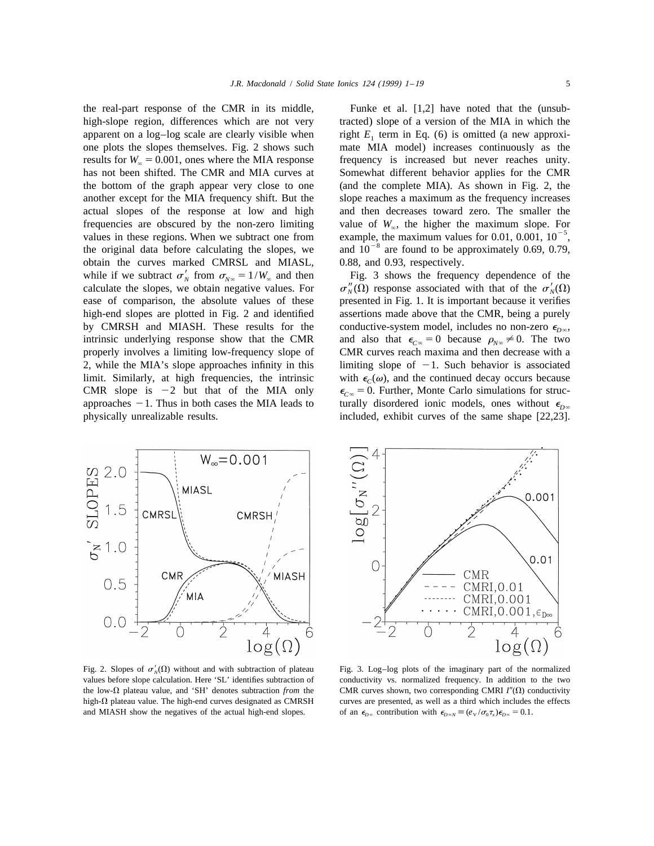high-slope region, differences which are not very tracted) slope of a version of the MIA in which the apparent on a log–log scale are clearly visible when right  $E_1$  term in Eq. (6) is omitted (a new approxi-<br>one plots the slopes themselves. Fig. 2 shows such mate MIA model) increases continuously as the one plots the slopes themselves. Fig. 2 shows such results for  $W_{\infty} = 0.001$ , ones where the MIA response frequency is increased but never reaches unity.<br>
has not been shifted. The CMR and MIA curves at Somewhat different behavior applies for the CMR has not been shifted. The CMR and MIA curves at the bottom of the graph appear very close to one (and the complete MIA). As shown in Fig. 2, the another except for the MIA frequency shift. But the slope reaches a maximum as the frequency increases actual slopes of the response at low and high and then decreases toward zero. The smaller the frequencies are obscured by the non-zero limiting value of  $W_{\infty}$ , the higher the maximum slope. For values in these regions. When we subtract one from example, the maximum values for 0.01, 0.001,  $10^{-5}$ , the original obtain the curves marked CMRSL and MIASL, 0.88, and 0.93, respectively. while if we subtract  $\sigma'_{N}$  from  $\sigma_{N^{\infty}} = 1/W_{\infty}$  and then Fig. 3 shows the frequency dependence of the *calculate* the slopes, we obtain negative values. For  $\sigma''_{N}(\Omega)$  response associated with that of the  $\sigma'_{N}$ calculate the slopes, we obtain negative values. For  $\sigma_N''(\Omega)$  response associated with that of the  $\sigma_N'(\Omega)$  response of comparison, the absolute values of these presented in Fig. 1. It is important because it verifies high-end slopes are plotted in Fig. 2 and identified assertions made above that the CMR, being a purely by CMRSH and MIASH. These results for the conductive-system model, includes no non-zero  $\epsilon_{D\infty}$ , intrinsic underlying response show that the CMR and also that  $\epsilon_{C\infty} = 0$  because  $\rho_{N\infty} \neq 0$ . The two intrinsic underlying response show that the CMR and also that  $\epsilon_{C\infty} = 0$  because  $\rho_{N\infty} \neq 0$ . The two properly involves a limiting low-frequency slope of CMR curves reach maxima and then decrease with a 2, while the MIA's slope approaches infinity in this limiting slope of  $-1$ . Such behavior is associated limit. Similarly, at high frequencies, the intrinsic with  $\epsilon_c(\omega)$ , and the continued decay occurs because *CMR* slope is -2 but that of the MIA only  $\epsilon_{c} = 0$ . Further, Monte Carlo simulations for struc-CMR slope is -2 but that of the MIA only  $\epsilon_{C\infty} = 0$ . Further, Monte Carlo simulations for struc-<br>approaches -1. Thus in both cases the MIA leads to turally disordered ionic models, ones without  $\epsilon_{D\infty}$ physically unrealizable results. included, exhibit curves of the same shape [22,23].

the real-part response of the CMR in its middle, Funke et al. [1,2] have noted that the (unsub-

presented in Fig. 1. It is important because it verifies CMR curves reach maxima and then decrease with a turally disordered ionic models, ones without  $\epsilon_{D^\infty}$ 



Fig. 2. Slopes of  $\sigma'_{N}(\Omega)$  without and with subtraction of plateau values before slope calculation. Here 'SL' identifies subtraction of conductivity vs. normalized frequency. In addition to the two the low- $\Omega$  plateau value, and 'SH' denotes subtraction *from* the CMR curves shown, two corresponding CMRI *I*<sup>n</sup>( $\Omega$ ) conductivity high- $\Omega$  plateau value. The high-end curves designated as CMRSH curves are presented, as well as a third which includes the effects and MIASH show the negatives of the actual high-end slopes. of an  $\epsilon_{D\infty}$  contribution with  $\epsilon_{D\infty} \equiv (e_{\rm V}/\sigma_{0}\tau_{\rm x})\epsilon_{D\infty} = 0.1$ .



Fig. 3. Log–log plots of the imaginary part of the normalized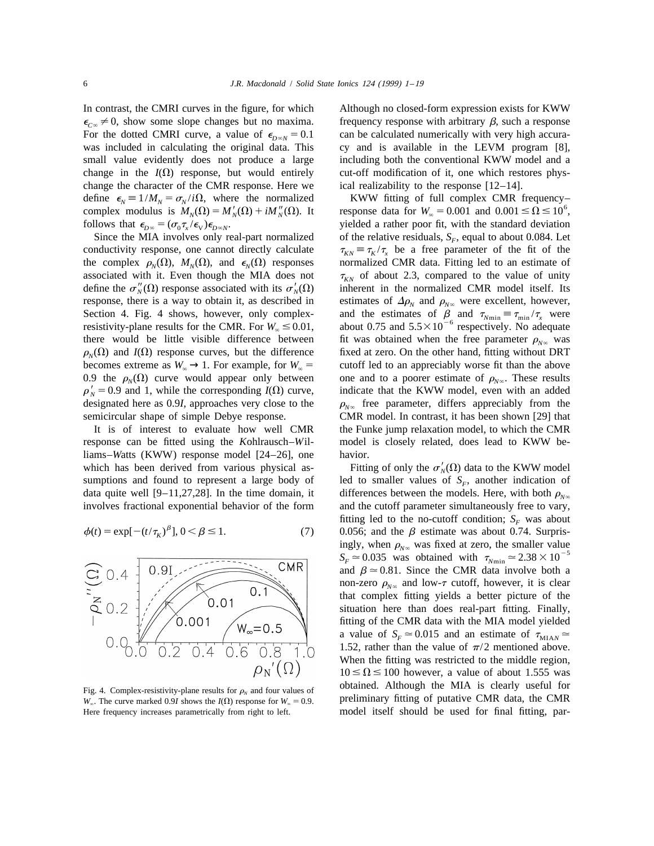For the dotted CMRI curve, a value of  $\epsilon_{D\infty N} = 0.1$  can be calculated numerically with very high accura-<br>was included in calculating the original data. This cy and is available in the LEVM program [8], change in the  $I(\Omega)$  response, but would entirely cut-off modification of it, one which restores physchange the character of the CMR response. Here we ical realizability to the response  $[12-14]$ . define  $\epsilon_N \equiv 1/M_N = \sigma_N / i\Omega$ , where the normalized<br>complex modulus is  $M_N(\Omega) = M'_N(\Omega) + iM''_N(\Omega)$ . It response data for  $W_\infty = 0.001$  and  $0.001 \le \Omega \le 10^6$ ,<br>follows that  $\epsilon_{D\infty} = (\sigma_0 \tau_x / \epsilon_v) \epsilon_{D\infty N}$ .

 $\rho'_{N} = 0.9$  and 1, while the corresponding  $I(\Omega)$  curve, designated here as 0.9*I*, approaches very close to the

response can be fitted using the *K*ohlrausch–*W*il- model is closely related, does lead to KWW beliams–*W*atts (KWW) response model [24–26], one havior. which has been derived from various physical as-<br>
Fitting of only the  $\sigma'_{N}(\Omega)$  data to the KWW model<br> *N*umpions and found to represent a large body of led to smaller values of  $S_{F}$ , another indication of

$$
\phi(t) = \exp[-(t/\tau_K)^{\beta}], 0 < \beta \le 1.
$$
 (7)



In contrast, the CMRI curves in the figure, for which Although no closed-form expression exists for KWW  $\epsilon_{\text{cos}} \neq 0$ , show some slope changes but no maxima. frequency response with arbitrary  $\beta$ , such a response cy and is available in the LEVM program [8], small value evidently does not produce a large including both the conventional KWW model and a

yielded a rather poor fit, with the standard deviation Since the MIA involves only real-part normalized of the relative residuals,  $S_F$ , equal to about 0.084. Let conductivity response, one cannot directly calculate  $\tau_{\kappa} = \tau_{\kappa}/\tau_{\kappa}$  be a free parameter of the fit of t  $\tau_{KN} \equiv \tau_K / \tau_x$  be a free parameter of the fit of the the complex  $\rho_{\rm N}(\Omega)$ , *M<sub>N</sub>*( $\Omega$ ), and  $\epsilon_{\rm N}(\Omega)$  responses normalized CMR data. Fitting led to an estimate of associated with it. Even though the MIA does not  $\tau_{KN}$  of about 2.3, compared to the value of unity define the  $\sigma_N^{\prime\prime}(\Omega)$  response associated with its  $\sigma_N^{\prime\prime}(\Omega)$  inherent in the normalized CMR model itself. Its response, there is a way to obtain it, as described in estimates of  $\Delta \rho_N$  and  $\rho_{N^{\infty}}$  were excellent, however, *Section 4. Fig. 4 shows, however, only complex-* and the estimates of  $\beta$  and  $\tau_{N \text{min}} = \tau_{\text{min}} / \tau_X$ Section 4. Fig. 4 shows, however, only complex-<br>resistivity-plane results for the CMR. For  $W_{\infty} \le 0.01$ , about 0.75 and 5.5 × 10<sup>-6</sup> respectively. No adequate there would be little visible difference between fit was obtained when the free parameter  $\rho_{N^{\infty}}$  was  $\rho_{N}(\Omega)$  and  $I(\Omega)$  response curves, but the difference fixed at zero. On the other hand, fitting without DRT fixed at zero. On the other hand, fitting without DRT becomes extreme as  $W_{\infty} \to 1$ . For example, for  $W_{\infty} =$  cutoff led to an appreciably worse fit than the above 0.9 the  $\rho_{N}(\Omega)$  curve would appear only between one and to a poorer estimate of  $\rho_{N\infty}$ . These results indicate that the KWW model, even with an added  $\rho_{N_{\infty}}$  free parameter, differs appreciably from the semicircular shape of simple Debye response. CMR model. In contrast, it has been shown [29] that It is of interest to evaluate how well CMR the Funke jump relaxation model, to which the CMR

led to smaller values of  $S<sub>F</sub>$ , another indication of data quite well [9–11,27,28]. In the time domain, it differences between the models. Here, with both  $\rho_{N^{\infty}}$  involves fractional exponential behavior of the form and the cutoff parameter simultaneously free to vary, and the cutoff parameter simultaneously free to vary, fitting led to the no-cutoff condition; *S<sub>F</sub>* was about 0.056; and the  $\beta$  estimate was about 0.74. Surpris-<br>ingly, when  $\rho_{\text{W}\infty}$  was fixed at zero, the smaller value  $S_F \approx 0.035$  was obtained with  $\tau_{N_{\text{min}}} \approx 2.38 \times 10^{-5}$ and  $\beta \approx 0.81$ . Since the CMR data involve both a non-zero  $\rho_{N^{\infty}}$  and low- $\tau$  cutoff, however, it is clear that complex fitting yields a better picture of the situation here than does real-part fitting. Finally, fitting of the CMR data with the MIA model yielded a value of  $S_F \approx 0.015$  and an estimate of  $\tau_{\text{MIA}N} \approx$ 1.52, rather than the value of  $\pi/2$  mentioned above. When the fitting was restricted to the middle region,  $10 \le \Omega \le 100$  however, a value of about 1.555 was Fig. 4. Complex-resistivity-plane results for  $\rho_N$  and four values of **budge obtained.** Although the MIA is clearly useful for *W*<sub> $\alpha$ </sub>. The curve marked 0.9*I* shows the *I*( $\Omega$ ) response for *W*<sub> $\alpha$ </sub> = 0.9. preliminary fitting of putative CMR data, the CMR Here frequency increases parametrically from right to left. model itself should be used for final fitting, par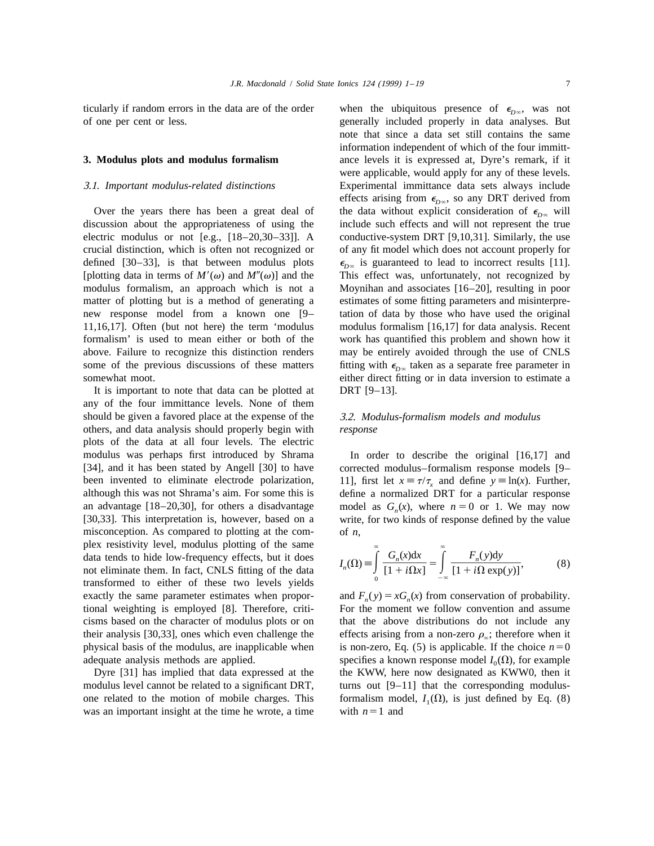ticularly if random errors in the data are of the order when the ubiquitous presence of  $\epsilon_{D\infty}$ , was not of one per cent or less. generally included properly in data analyses. But

discussion about the appropriateness of using the include such effects and will not represent the true electric modulus or not [e.g., [18–20,30–33]]. A conductive-system DRT [9,10,31]. Similarly, the use crucial distinction, which is often not recognized or of any fit model which does not account properly for defined [30–33], is that between modulus plots  $\epsilon_{D\infty}$  is guaranteed to lead to incorrect results [11]. [plotting data in terms of  $M'(\omega)$  and  $M''(\omega)$ ] and the This effect was, unfortunately, not recognized by modulus formalism, an approach which is not a Moynihan and associates [16–20], resulting in poor matter of plotting but is a method of generating a estimates of some fitting parameters and misinterprenew response model from a known one [9– tation of data by those who have used the original 11,16,17]. Often (but not here) the term 'modulus modulus formalism [16,17] for data analysis. Recent formalism' is used to mean either or both of the work has quantified this problem and shown how it above. Failure to recognize this distinction renders may be entirely avoided through the use of CNLS some of the previous discussions of these matters fitting with  $\epsilon_{D\infty}$  taken as a separate free parameter in

It is important to note that data can be plotted at DRT [9–13]. any of the four immittance levels. None of them should be given a favored place at the expense of the 3.2. *Modulus*-*formalism models and modulus* others, and data analysis should properly begin with *response* plots of the data at all four levels. The electric modulus was perhaps first introduced by Shrama In order to describe the original [16,17] and [34], and it has been stated by Angell [30] to have corrected modulus–formalism response models [9– been invented to eliminate electrode polarization, 11], first let  $x = \tau/\tau_x$  and define  $y = \ln(x)$ . Further, although this was not Shrama's aim. For some this is define a normalized DRT for a particular response an advantage [18–20,30], for others a disadvantage model as  $G_n(x)$ , where  $n = 0$  or 1. We may now [30,33]. This interpretation is, however, based on a write, for two kinds of response defined by the value misconception. As compared to plotting at the com- of *n*, plex resistivity level, modulus plotting of the same ` ` plex resistivity level, modulus plotting of the same<br>data tends to hide low-frequency effects, but it does<br>not eliminate them. In fact, CNLS fitting of the data<br>transformed to either of these two levels yields  $I_n(\Omega) = \int_0$ exactly the same parameter estimates when propor-<br>tional weighting is employed [8]. Therefore, criti-<br>For the moment we follow convention and assume cisms based on the character of modulus plots or on that the above distributions do not include any their analysis [30,33], ones which even challenge the effects arising from a non-zero  $\rho_{\infty}$ ; therefore when it physical basis of the modulus, are inapplicable when is non-zero, Eq. (5) is applicable. If the choice  $n=$ 

was an important insight at the time he wrote, a time

note that since a data set still contains the same information independent of which of the four immitt-**3. Modulus plots and modulus formalism** ance levels it is expressed at, Dyre's remark, if it were applicable, would apply for any of these levels. 3.1. *Important modulus*-*related distinctions* Experimental immittance data sets always include effects arising from  $\epsilon_{D\infty}$ , so any DRT derived from Over the years there has been a great deal of the data without explicit consideration of  $\epsilon_{D_\infty}$  will somewhat moot. **Example 2** either direct fitting or in data inversion to estimate a

$$
I_n(\Omega) \equiv \int_0^\infty \frac{G_n(x)dx}{[1+i\Omega x]} = \int_{-\infty}^\infty \frac{F_n(y)dy}{[1+i\Omega \exp(y)]},
$$
(8)

For the moment we follow convention and assume is non-zero, Eq. (5) is applicable. If the choice  $n=0$ adequate analysis methods are applied. specifies a known response model  $I_0(\Omega)$ , for example Dyre [31] has implied that data expressed at the the KWW, here now designated as KWW0, then it modulus level cannot be related to a significant DRT, turns out  $[9-11]$  that the corresponding modulusone related to the motion of mobile charges. This formalism model,  $I_1(\Omega)$ , is just defined by Eq. (8) was an important insight at the time he wrote, a time with  $n=1$  and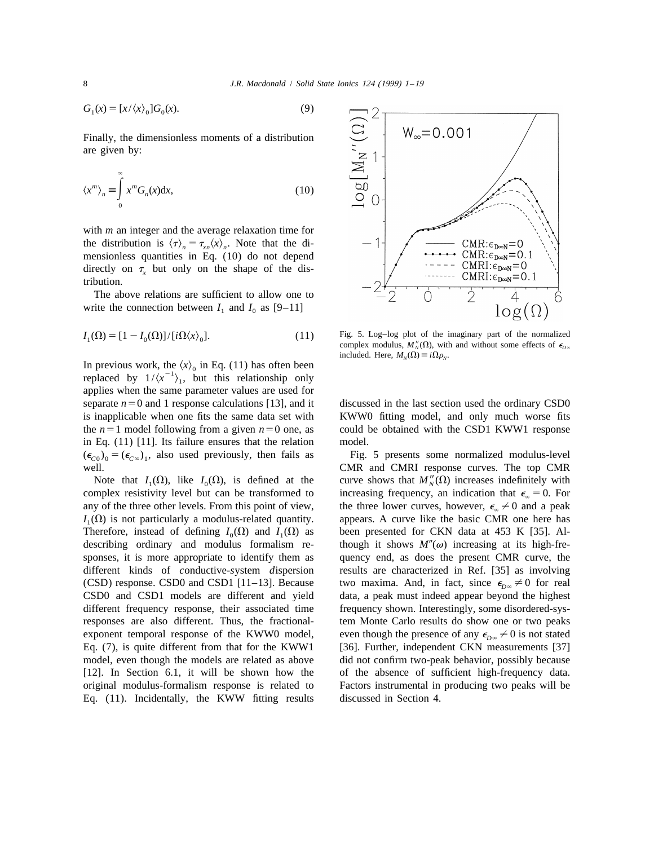$$
G_1(x) = [x/\langle x \rangle_0] G_0(x). \tag{9}
$$

Finally, the dimensionless moments of a distribution are given by:

$$
\langle x^m \rangle_n \equiv \int_0^\infty x^m G_n(x) \mathrm{d}x,\tag{10}
$$

with *m* an integer and the average relaxation time for the distribution is  $\langle \tau \rangle_n = \tau_{nn} \langle x \rangle_n$ . Note that the dimensionless quantities in Eq. (10) do not depend directly on  $\tau$ , but only on the shape of the distribution.

The above relations are sufficient to allow one to write the connection between  $I_1$  and  $I_0$  as [9–11]

$$
I_1(\Omega) = [1 - I_0(\Omega)] / [i\Omega \langle x \rangle_0]. \tag{11}
$$

In previous work, the  $\langle x \rangle_0$  in Eq. (11) has often been replaced by  $1/\langle x^{-1} \rangle_1$ , but this relationship only applies when the same parameter values are used for separate  $n=0$  and 1 response calculations [13], and it discussed in the last section used the ordinary CSD0 is inapplicable when one fits the same data set with KWW0 fitting model, and only much worse fits the  $n=1$  model following from a given  $n=0$  one, as could be obtained with the CSD1 KWW1 response in Eq. (11) [11]. Its failure ensures that the relation model.  $(\epsilon_{C0})_0 = (\epsilon_{C\infty})_1$ , also used previously, then fails as Fig. 5 presents some normalized modulus-level **COO COO** COOR **COO** COOR **COO** COOR

complex resistivity level but can be transformed to increasing frequency, an indication that  $\epsilon_{\infty} = 0$ . For any of the three other levels. From this point of view, the three lower curves, however,  $\epsilon_{\infty} \neq 0$  and a  $I_1(\Omega)$  is not particularly a modulus-related quantity. appears. A curve like the basic CMR one here has Therefore, instead of defining  $I_0(\Omega)$  and  $I_1(\Omega)$  as been presented for CKN data at 453 K [35]. Al- describing ordinary and modulus formalism re-<br>though it shows  $M''(\omega)$  increasing at its high-fresponses, it is more appropriate to identify them as quency end, as does the present CMR curve, the different kinds of *c*onductive-*s*ystem *d*ispersion results are characterized in Ref. [35] as involving (CSD) response. CSD0 and CSD1 [11–13]. Because two maxima. And, in fact, since  $\epsilon_{p_\infty} \neq 0$  for real CSD0 and CSD1 models are different and yield data, a peak must indeed appear beyond the highest different frequency response, their associated time frequency shown. Interestingly, some disordered-sysresponses are also different. Thus, the fractional- tem Monte Carlo results do show one or two peaks exponent temporal response of the KWW0 model, even though the presence of any  $\epsilon_{D\infty} \neq 0$  is not stated Eq. (7), is quite different from that for the KWW1 [36]. Further, independent CKN measurements [37] model, even though the models are related as above did not confirm two-peak behavior, possibly because [12]. In Section 6.1, it will be shown how the of the absence of sufficient high-frequency data. original modulus-formalism response is related to Factors instrumental in producing two peaks will be Eq. (11). Incidentally, the KWW fitting results discussed in Section 4.



Fig. 5. Log–log plot of the imaginary part of the normalized complex modulus,  $M''_y(\Omega)$ , with and without some effects of  $\epsilon_{n_x}$ included. Here,  $M_N(\Omega) \equiv i\Omega \rho_N$ .

CMR and CMRI response curves. The top CMR Note that  $I_1(\Omega)$ , like  $I_0(\Omega)$ , is defined at the curve shows that  $M''_N(\Omega)$  increases indefinitely with the three lower curves, however,  $\epsilon_{\alpha} \neq 0$  and a peak though it shows  $M''(\omega)$  increasing at its high-fre-[36]. Further, independent CKN measurements [37].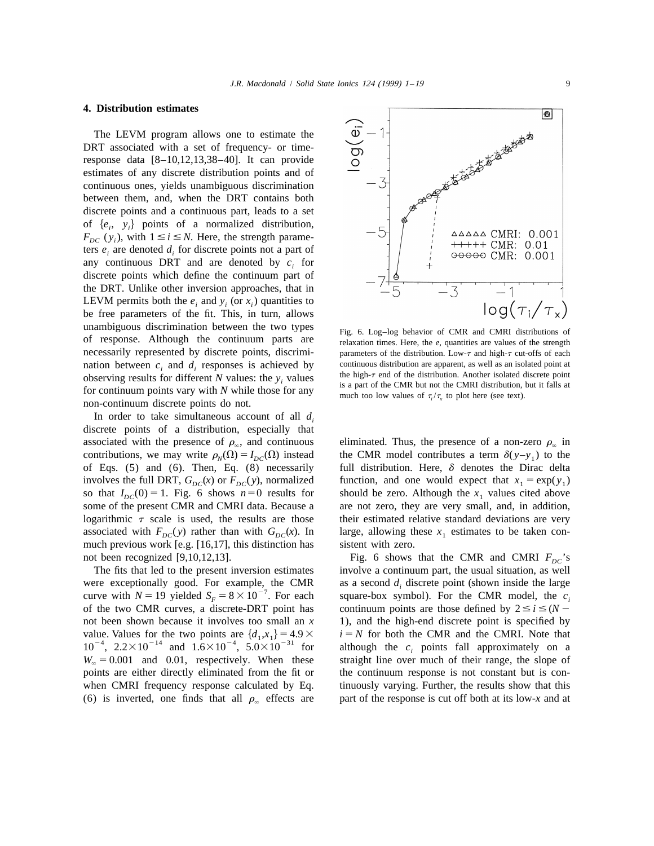### **4. Distribution estimates**

The LEVM program allows one to estimate the DRT associated with a set of frequency- or timeresponse data [8–10,12,13,38–40]. It can provide estimates of any discrete distribution points and of continuous ones, yields unambiguous discrimination between them, and, when the DRT contains both discrete points and a continuous part, leads to a set of  $\{e_i, y_i\}$  points of a normalized distribution,  $F_{DC}(y_i)$ , with  $1 \le i \le N$ . Here, the strength parameters  $e_i$  are denoted  $d_i$  for discrete points not a part of any continuous DRT and are denoted by  $c_i$  for discrete points which define the continuum part of the DRT. Unlike other inversion approaches, that in LEVM permits both the  $e_i$  and  $y_i$  (or  $x_i$ ) quantities to be free parameters of the fit. This, in turn, allows unambiguous discrimination between the two types<br>of response. Although the continuum parts are<br>least times. Here, the e, quantities are values of the strength necessarily represented by discrete points, discrimi- parameters of the distribution. Low- $\tau$  and high- $\tau$  cut-offs of each nation between  $c_i$  and  $d_i$  responses is achieved by continuous distribution are apparent, as well as an isolated point at *i* results for different *N* values; the *y* values the high- $\tau$  end of the distribution. Anoth observing results for different N values: the  $y_i$  values<br>for continuum points vary with N while those for any<br>non-continuum discrete points do not.<br>non-continuum discrete points do not.

In order to take simultaneous account of all  $d_i$ discrete points of a distribution, especially that associated with the presence of  $\rho_{\infty}$ , and continuous eliminated. Thus, the presence of a non-zero  $\rho_{\infty}$  in of Eqs.  $(5)$  and  $(6)$ . Then, Eq.  $(8)$  necessarily associated with  $F_{DC}(y)$  rather than with  $G_{DC}(x)$ . In large, allowing these  $x_1$  estimates to be taken conmuch previous work [e.g.  $[16,17]$ , this distinction has sistent with zero.

were exceptionally good. For example, the CMR as a second  $d_i$  discrete point (shown inside the large curve with  $N = 19$  yielded  $S_F = 8 \times 10^{-7}$ . For each square-box symbol). For the CMR model, the  $c_i$  of the two CMR cur not been shown because it involves too small an *x* 1), and the high-end discrete point is specified by value. Values for the two points are  $\{d_1, x_1\} = 4.9 \times i = N$  for both the CMR and the CMRI. Note that  $10^{-4}$ ,  $2.2 \times 10^{-14}$  and  $1.6 \times 10^{-4}$ ,  $5.0 \times 10^{-31}$  for although the  $c_i$  points fall approximately on a points are either directly eliminated from the fit or the continuum response is not constant but is con-(6) is inverted, one finds that all  $\rho_{\alpha}$  effects are part of the response is cut off both at its low-*x* and at



contributions, we may write  $\rho_N(\Omega) = I_{DC}(\Omega)$  instead the CMR model contributes a term  $\delta(y-y_1)$  to the of Eqs. (5) and (6). Then, Eq. (8) necessarily full distribution. Here,  $\delta$  denotes the Dirac delta involves the full DRT,  $G_{DC}(x)$  or  $F_{DC}(y)$ , normalized function, and one would expect that  $x_1 = \exp(y_1)$ so that  $I_{DC}(0) = 1$ . Fig. 6 shows  $n=0$  results for should be zero. Although the  $x_1$  values cited above some of the present CMR and CMRI data. Because a are not zero, they are very small, and, in addition, are not zero, they are very small, and, in addition, logarithmic  $\tau$  scale is used, the results are those their estimated relative standard deviations are very

not been recognized [9,10,12,13]. Fig. 6 shows that the CMR and CMRI  $F_{DC}$ 's<br>The fits that led to the present inversion estimates involve a continuum part, the usual situation, as well involve a continuum part, the usual situation, as well continuum points are those defined by  $2 \le i \le (N W_{\infty} = 0.001$  and 0.01, respectively. When these straight line over much of their range, the slope of when CMRI frequency response calculated by Eq. tinuously varying. Further, the results show that this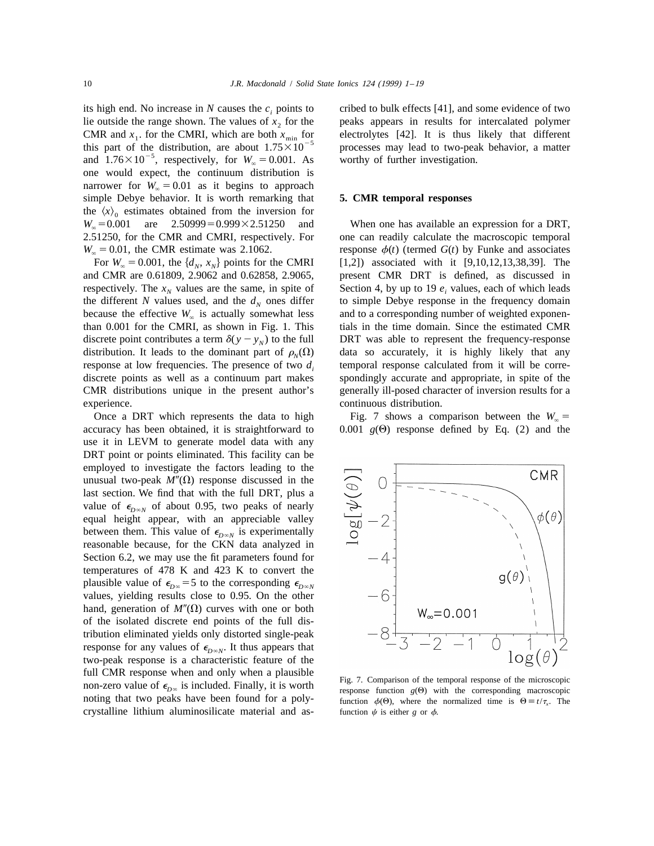its high end. No increase in *N* causes the  $c_i$  points to cribed to bulk effects [41], and some evidence of two lie outside the range shown. The values of  $x<sub>2</sub>$  for the peaks appears in results for intercalated polymer CMR and  $x_1$ . for the CMRI, which are both  $x_{\text{min}}$  for electrolytes [42]. It is thus likely that different this part of the distribution, are about  $1.75 \times 10^{-5}$  processes may lead to two-peak behavior, a matter and one would expect, the continuum distribution is narrower for  $W_{\infty} = 0.01$  as it begins to approach simple Debye behavior. It is worth remarking that **5. CMR temporal responses** the  $\langle x \rangle_0$  estimates obtained from the inversion for  $W_\infty = 0.001$  are 2.50999=0.999×2.51250 and  $W_{\infty} = 0.001$  are  $2.50999 = 0.999 \times 2.51250$  and When one has available an expression for a DRT, 2.51250, for the CMR and CMRI, respectively. For one can readily calculate the macroscopic temporal

and CMR are 0.61809, 2.9062 and 0.62858, 2.9065, present CMR DRT is defined, as discussed in respectively. The  $x_N$  values are the same, in spite of Section 4, by up to 19  $e_i$  values, each of which leads the different *N* values used, and the  $d<sub>N</sub>$  ones differ to simple Debye response in the frequency domain because the effective  $W_{\infty}$  is actually somewhat less and to a corresponding number of weighted exponentian 0.001 for the CMRI, as shown in Fig. 1. This tials in the time domain. Since the estimated CMR discrete point contributes a term  $\delta(y - y_N)$  to the full DRT was able to represent the frequency-response distribution. It leads to the dominant part of  $\rho_N(\Omega)$  data so accurately, it is highly likely that any distribution. It leads to the dominant part of  $\rho_N(\Omega)$ response at low frequencies. The presence of two  $d_i$  temporal response calculated from it will be corrediscrete points as well as a continuum part makes spondingly accurate and appropriate, in spite of the CMR distributions unique in the present author's generally ill-posed character of inversion results for a experience. continuous distribution.

Once a DRT which represents the data to high Fig. 7 shows a comparison between the  $W_{\infty}$  = accuracy has been obtained, it is straightforward to 0.001  $g(\Theta)$  response defined by Eq. (2) and the use it in LEVM to generate model data with any DRT point or points eliminated. This facility can be employed to investigate the factors leading to the unusual two-peak  $M''(\Omega)$  response discussed in the last section. We find that with the full DRT, plus a value of  $\epsilon_{D\infty N}$  of about 0.95, two peaks of nearly equal height appear, with an appreciable valley between them. This value of  $\epsilon_{D\infty N}$  is experimentally reasonable because, for the CKN data analyzed in Section 6.2, we may use the fit parameters found for temperatures of 478 K and 423 K to convert the plausible value of  $\epsilon_{D\infty}$  = 5 to the corresponding  $\epsilon_{D\infty}$ <sup>*N*</sup> values, yielding results close to 0.95. On the other hand, generation of  $M''(\Omega)$  curves with one or both of the isolated discrete end points of the full distribution eliminated yields only distorted single-peak response for any values of  $\epsilon_{D\infty}$ . It thus appears that two-peak response is a characteristic feature of the full CMR response when and only when a plausible<br>non-zero value of  $\epsilon_{D\infty}$  is included. Finally, it is worth<br>response function  $g(\theta)$  with the corresponding macroscopic noting that two peaks have been found for a poly-<br>function  $\phi(\theta)$ , where the normalized time is  $\Theta = t/\tau$ . The crystalline lithium aluminosilicate material and as- function  $\psi$  is either *g* or  $\phi$ .

 $W_{\infty} = 0.01$ , the CMR estimate was 2.1062. response  $\phi(t)$  (termed *G*(*t*) by Funke and associates For  $W_{\infty} = 0.001$ , the  $\{d_N, x_N\}$  points for the CMRI [1,2]) associated with it [9,10,12,13,38,39]. The [1,2]) associated with it [9,10,12,13,38,39]. The tials in the time domain. Since the estimated CMR

0.001  $g(\Theta)$  response defined by Eq. (2) and the

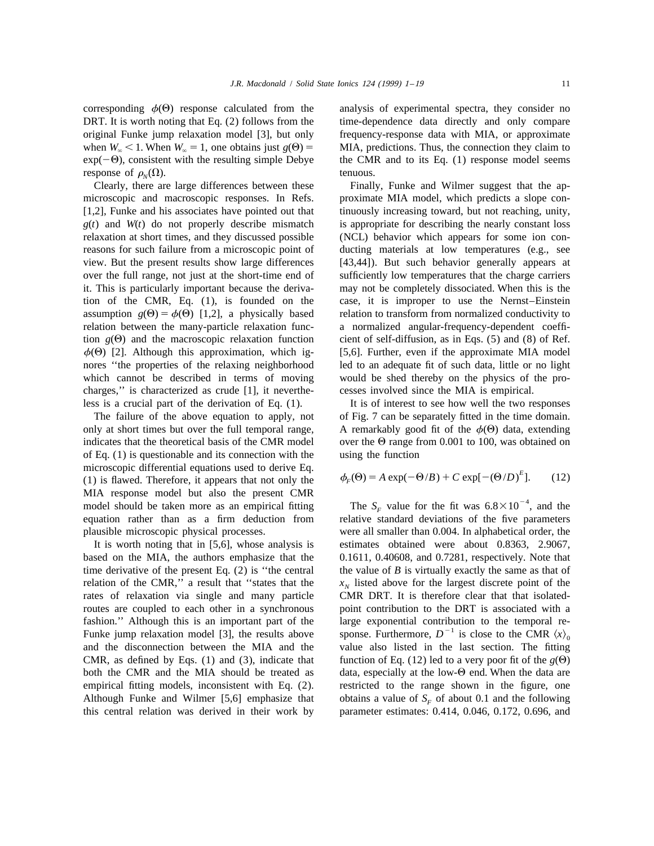corresponding  $\phi(\Theta)$  response calculated from the analysis of experimental spectra, they consider no response of  $\rho_N(\Omega)$ . tenuous.<br>Clearly, there are large differences between these Finall

microscopic and macroscopic responses. In Refs. proximate MIA model, which predicts a slope con- [1,2], Funke and his associates have pointed out that tinuously increasing toward, but not reaching, unity, *g*(*t*) and *W*(*t*) do not properly describe mismatch is appropriate for describing the nearly constant loss relaxation at short times, and they discussed possible (NCL) behavior which appears for some ion conreasons for such failure from a microscopic point of ducting materials at low temperatures (e.g., see view. But the present results show large differences [43,44]). But such behavior generally appears at over the full range, not just at the short-time end of sufficiently low temperatures that the charge carriers it. This is particularly important because the deriva- may not be completely dissociated. When this is the tion of the CMR, Eq. (1), is founded on the case, it is improper to use the Nernst–Einstein assumption  $g(\Theta) = \phi(\Theta)$  [1,2], a physically based relation to transform from normalized conductivity to relation between the many-particle relaxation func- a normalized angular-frequency-dependent coeffition  $g(\Theta)$  and the macroscopic relaxation function cient of self-diffusion, as in Eqs. (5) and (8) of Ref. nores ''the properties of the relaxing neighborhood led to an adequate fit of such data, little or no light which cannot be described in terms of moving would be shed thereby on the physics of the procharges,'' is characterized as crude [1], it neverthe- cesses involved since the MIA is empirical. less is a crucial part of the derivation of Eq. (1). It is of interest to see how well the two responses

only at short times but over the full temporal range, A remarkably good fit of the  $\phi(\Theta)$  data, extending indicates that the theoretical basis of the CMR model over the  $\Theta$  range from 0.001 to 100, was obtained on of Eq.  $(1)$  is questionable and its connection with the using the function microscopic differential equations used to derive Eq. (1) is flawed. Therefore, it appears that not only the MIA response model but also the present CMR<br>
24 model should be taken more as an empirical fitting The  $S_F$  value for the fit was  $6.8 \times 10^{-4}$ , and the<br>
24 equation rather than as a firm deduction from relative standard plausible microscopic physical processes. were all smaller than 0.004. In alphabetical order, the

based on the MIA, the authors emphasize that the 0.1611, 0.40608, and 0.7281, respectively. Note that time derivative of the present Eq.  $(2)$  is "the central the value of *B* is virtually exactly the same as that of relation of the CMR," a result that "states that the  $x<sub>N</sub>$  listed above for the largest discrete point of the rates of relaxation via single and many particle CMR DRT. It is therefore clear that that isolatedrates of relaxation via single and many particle CMR, as defined by Eqs. (1) and (3), indicate that function of Eq. (12) led to a very poor fit of the  $g(\Theta)$ both the CMR and the MIA should be treated as data, especially at the low- $\Theta$  end. When the data are empirical fitting models, inconsistent with Eq. (2). restricted to the range shown in the figure, one Although Funke and Wilmer [5,6] emphasize that obtains a value of  $S_F$  of about 0.1 and the following this central relation was derived in their work by parameter estimates: 0.414, 0.046, 0.172, 0.696, and

DRT. It is worth noting that Eq. (2) follows from the time-dependence data directly and only compare original Funke jump relaxation model [3], but only frequency-response data with MIA, or approximate when  $W_{\infty} < 1$ . When  $W_{\infty} = 1$ , one obtains just  $g(\Theta) =$  MIA, predictions. Thus, the connection they claim to  $\exp(-\Theta)$ , consistent with the resulting simple Debye the CMR and to its Eq. (1) response model seems the CMR and to its Eq.  $(1)$  response model seems

Finally, Funke and Wilmer suggest that the ap- $\phi(\Theta)$  [2]. Although this approximation, which ig- [5,6]. Further, even if the approximate MIA model

The failure of the above equation to apply, not of Fig. 7 can be separately fitted in the time domain.

$$
\phi_F(\Theta) = A \exp(-\Theta/B) + C \exp[-(\Theta/D)^E].
$$
 (12)

relative standard deviations of the five parameters It is worth noting that in [5,6], whose analysis is estimates obtained were about 0.8363, 2.9067, routes are coupled to each other in a synchronous point contribution to the DRT is associated with a fashion.'' Although this is an important part of the large exponential contribution to the temporal re-<br>
Funke jump relaxation model [3], the results above sponse. Furthermore,  $D^{-1}$  is close to the CMR  $\langle x \rangle_0$ <br>
and th value also listed in the last section. The fitting parameter estimates:  $0.414$ ,  $0.046$ ,  $0.172$ ,  $0.696$ , and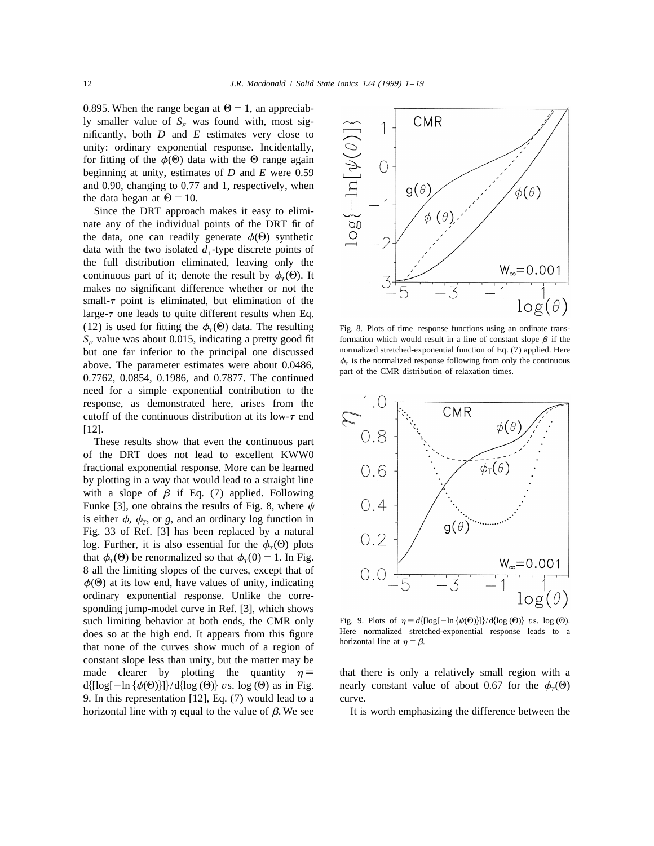0.895. When the range began at  $\Theta = 1$ , an appreciably smaller value of  $S_F$  was found with, most significantly, both *D* and *E* estimates very close to unity: ordinary exponential response. Incidentally, for fitting of the  $\phi(\Theta)$  data with the  $\Theta$  range again beginning at unity, estimates of *D* and *E* were 0.59 and 0.90, changing to 0.77 and 1, respectively, when the data began at  $\Theta = 10$ .

Since the DRT approach makes it easy to eliminate any of the individual points of the DRT fit of the data, one can readily generate  $\phi(\Theta)$  synthetic data with the two isolated  $d_1$ -type discrete points of the full distribution eliminated, leaving only the continuous part of it; denote the result by  $\phi_r(\Theta)$ . It makes no significant difference whether or not the small- $\tau$  point is eliminated, but elimination of the large- $\tau$  one leads to quite different results when Eq. (12) is used for fitting the  $\phi_T(\Theta)$  data. The resulting Fig. 8. Plots of time–response functions using an ordinate trans- $S_F$  value was about 0.015, indicating a pretty good fit formation which would result in a line of constant slope  $\beta$  if the **F***F* interior to the **P** repriorishing one discussed pormalized stretched-exponential f but one far inferior to the principal one discussed<br>above. The parameter estimates were about 0.0486,<br> $0.7762$ , 0.0854, 0.1986, and 0.7877. The continued<br>but interest of the CMR distribution of relaxation times. need for a simple exponential contribution to the response, as demonstrated here, arises from the cutoff of the continuous distribution at its low- $\tau$  end [12].

These results show that even the continuous part of the DRT does not lead to excellent KWW0 fractional exponential response. More can be learned by plotting in a way that would lead to a straight line with a slope of  $\beta$  if Eq. (7) applied. Following Funke [3], one obtains the results of Fig. 8, where  $\psi$ is either  $\phi$ ,  $\phi_r$ , or *g*, and an ordinary log function in Fig. 33 of Ref. [3] has been replaced by a natural log. Further, it is also essential for the  $\phi_T(\Theta)$  plots that  $\phi_T(\Theta)$  be renormalized so that  $\phi_T(0) = 1$ . In Fig. 8 all the limiting slopes of the curves, except that of  $\phi(\Theta)$  at its low end, have values of unity, indicating ordinary exponential response. Unlike the corresponding jump-model curve in Ref. [3], which shows such limiting behavior at both ends, the CMR only Fig. 9. Plots of  $\eta \equiv d\{\log[-\ln{\{\psi(\Theta)}\}] \} / d\{\log(\Theta)\}$  *vs.* log ( $\Theta$ ).<br>does so at the high end. It appears from this figure does so at the high end. It appears from this figure horizontal line at  $\eta = \beta$ .<br>that none of the curves show much of a region of constant slope less than unity, but the matter may be made clearer by plotting the quantity  $\eta \equiv$  that there is only a relatively small region with a  $d\{[\log[-\ln{\psi(\Theta)}]\}/d\{\log(\Theta)\}\$ *vs.* log ( $\Theta$ ) as in Fig. nearly constant value of about 0.67 for the  $\phi_r(\Theta)$ 9. In this representation [12], Eq. (7) would lead to a curve.





horizontal line with  $\eta$  equal to the value of  $\beta$ . We see It is worth emphasizing the difference between the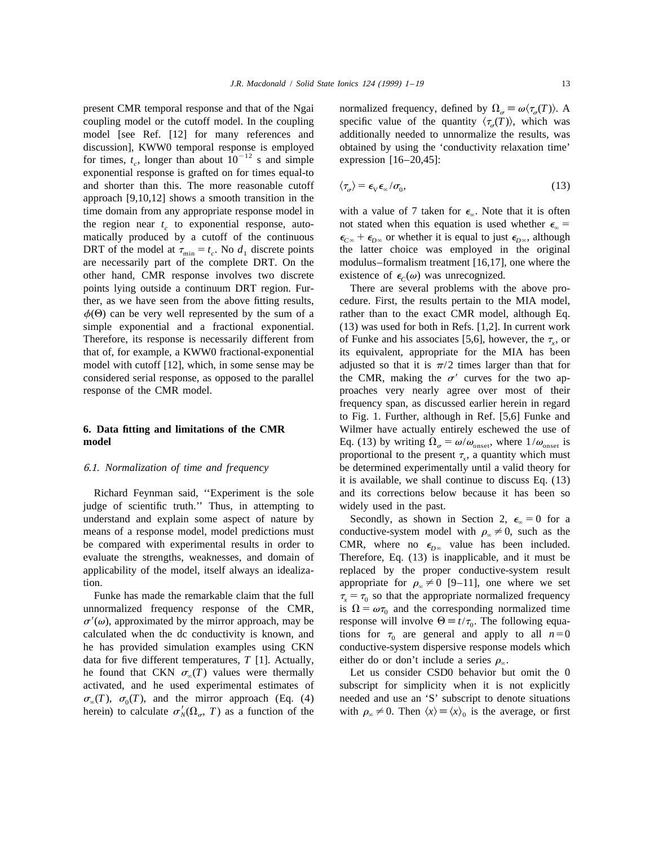exponential response is grafted on for times equal-to and shorter than this. The more reasonable cutoff approach [9,10,12] shows a smooth transition in the DRT of the model at  $\tau_{\text{min}} = t_c$ . No  $d_1$  discrete points are necessarily part of the complete DRT. On the other hand, CMR response involves two discrete existence of  $\epsilon_c(\omega)$  was unrecognized.

judge of scientific truth.'' Thus, in attempting to widely used in the past. understand and explain some aspect of nature by Secondly, as shown in Section 2,  $\epsilon_n = 0$  for a means of a response model, model predictions must conductive-system model with  $\rho_{\infty} \neq 0$ , such as the be compared with experimental results in order to CMR, where no  $\epsilon_{D_{\infty}}$  value has been included. evaluate the strengths, weaknesses, and domain of Therefore, Eq. (13) is inapplicable, and it must be applicability of the model, itself always an idealiza- replaced by the proper conductive-system result

 $\sigma'(\omega)$ , approximated by the mirror approach, may be response will involve  $\Theta = t/\tau_0$ . The following equa-<br>calculated when the dc conductivity is known, and tions for  $\tau_0$  are general and apply to all  $n=0$ calculated when the dc conductivity is known, and tions for  $\tau_0$  are general and apply to all  $n=0$  he has provided simulation examples using CKN conductive-system dispersive response models which data for five different temperatures, *T* [1]. Actually, either do or don't include a series  $\rho_{\infty}$ . he found that CKN  $\sigma_{\infty}(T)$  values were thermally Let us consider CSD0 behavior but omit the 0 activated, and he used experimental estimates of subscript for simplicity when it is not explicitly  $\sigma_{\infty}(T)$ ,  $\sigma_0(T)$ , and the mirror approach (Eq. (4) needed and use an 'S' subscript to denote situations herein) to calculate  $\sigma'_{N}(\Omega_{\sigma}, T)$  as a function of the with  $\rho_{\infty} \neq 0$ . Then  $\langle x \rangle = \langle x \rangle_0$  is the aver

present CMR temporal response and that of the Ngai normalized frequency, defined by  $\Omega_{\sigma} \equiv \omega \langle \tau_{\sigma}(T) \rangle$ . A coupling model or the cutoff model. In the coupling specific value of the quantity  $\langle \tau_a(T) \rangle$ , which was model [see Ref. [12] for many references and additionally needed to unnormalize the results, was discussion], KWW0 temporal response is employed obtained by using the 'conductivity relaxation time' for times,  $t_c$ , longer than about  $10^{-12}$  s and simple expression [16–20,45]:

$$
\langle \tau_{\sigma} \rangle = \epsilon_{\rm V} \epsilon_{\infty} / \sigma_0, \tag{13}
$$

time domain from any appropriate response model in with a value of 7 taken for  $\epsilon_{\infty}$ . Note that it is often<br>the region near  $t_c$  to exponential response, auto-<br>not stated when this equation is used whether  $\epsilon_{\infty}$  = the region near  $t_c$  to exponential response, auto-<br>matically produced by a cutoff of the continuous  $\epsilon_{C_{\infty}} + \epsilon_{D_{\infty}}$  or whether it is equal to just  $\epsilon_{D_{\infty}}$ , although matically produced by a cutoff of the continuous  $\epsilon_{C\infty} + \epsilon_{D\infty}$  or whether it is equal to just  $\epsilon_{D\infty}$ , although DRT of the model at  $\tau_{\min} = t_c$ . No  $d_1$  discrete points the latter choice was employed in the orig modulus–formalism treatment  $[16, 17]$ , one where the

points lying outside a continuum DRT region. Fur- There are several problems with the above prother, as we have seen from the above fitting results, cedure. First, the results pertain to the MIA model,  $\phi(\Theta)$  can be very well represented by the sum of a rather than to the exact CMR model, although Eq. simple exponential and a fractional exponential. (13) was used for both in Refs. [1,2]. In current work Therefore, its response is necessarily different from of Funke and his associates [5,6], however, the  $\tau_x$ , or that of, for example, a KWW0 fractional-exponential its equivalent, appropriate for the MIA has been its equivalent, appropriate for the MIA has been model with cutoff [12], which, in some sense may be adjusted so that it is  $\pi/2$  times larger than that for considered serial response, as opposed to the parallel the CMR, making the  $\sigma'$  curves for the two apresponse of the CMR model. proaches very nearly agree over most of their frequency span, as discussed earlier herein in regard to Fig. 1. Further, although in Ref. [5,6] Funke and **6. Data fitting and limitations of the CMR** Wilmer have actually entirely eschewed the use of **model** Eq. (13) by writing  $\Omega_{\sigma} = \omega/\omega_{\text{onset}}$ , where  $1/\omega_{\text{onset}}$  is proportional to the present  $\tau_r$ , a quantity which must 6.1. *Normalization of time and frequency* be determined experimentally until a valid theory for it is available, we shall continue to discuss Eq. (13) Richard Feynman said, ''Experiment is the sole and its corrections below because it has been so

CMR, where no  $\epsilon_{D^\infty}$  value has been included. tion. appropriate for  $\rho_{\infty} \neq 0$  [9–11], one where we set Funke has made the remarkable claim that the full  $\tau_x = \tau_0$  so that the appropriate normalized frequency response of the CMR, is  $\Omega = \omega \tau_0$  and the corresponding normalized time unnormalized frequency response of the CMR, is  $\Omega = \omega \tau_0$  and the corresponding normalized time  $\sigma'(\omega)$ , approximated by the mirror approach, may be response will involve  $\Theta = t/\tau_0$ . The following equaconductive-system dispersive response models which

> subscript for simplicity when it is not explicitly with  $\rho_{\infty} \neq 0$ . Then  $\langle x \rangle = \langle x \rangle_0$  is the average, or first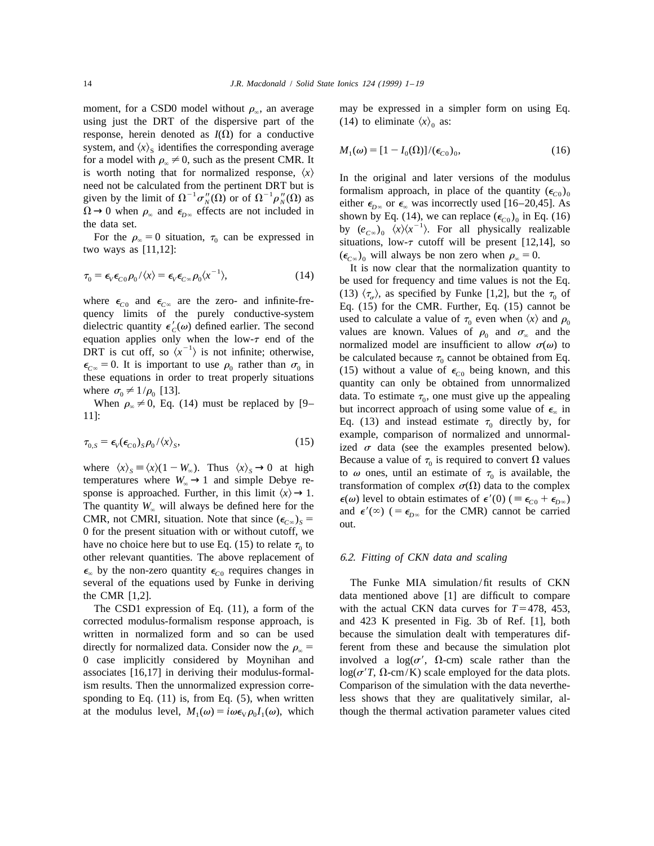moment, for a CSD0 model without  $\rho_{\infty}$ , an average may be expressed in a simpler form on using Eq. using just the DRT of the dispersive part of the (14) to eliminate  $\langle x \rangle_0$  as: response, herein denoted as  $I(\Omega)$  for a conductive system, and  $\langle x \rangle_s$  identifies the corresponding average for a model with  $\rho_\infty \neq 0$ , such as the present CMR. It is worth noting that for normalized response,  $\langle x \rangle$ 

$$
\tau_0 = \epsilon_V \epsilon_{C0} \rho_0 / \langle x \rangle = \epsilon_V \epsilon_{C\infty} \rho_0 \langle x^{-1} \rangle, \tag{14}
$$

$$
\tau_{0,S} = \epsilon_V(\epsilon_{C0})_S \rho_0 / \langle x \rangle_S, \tag{15}
$$

0 for the present situation with or without cutoff, we have no choice here but to use Eq. (15) to relate  $\tau_0$  to other relevant quantities. The above replacement of 6.2. *Fitting of CKN data and scaling*  $\epsilon_{\infty}$  by the non-zero quantity  $\epsilon_{C0}$  requires changes in several of the equations used by Funke in deriving The Funke MIA simulation/fit results of CKN the CMR [1,2]. data mentioned above [1] are difficult to compare

corrected modulus-formalism response approach, is and 423 K presented in Fig. 3b of Ref. [1], both written in normalized form and so can be used because the simulation dealt with temperatures difdirectly for normalized data. Consider now the  $\rho_{\rm g}$  = ferent from these and because the simulation plot 0 case implicitly considered by Moynihan and involved a  $log(\sigma')$ ,  $\Omega$ -cm) scale rather than the associates [16,17] in deriving their modulus-formal-  $log(\sigma' T, \Omega \text{-cm/K})$  scale employed for the data plots. ism results. Then the unnormalized expression corre- Comparison of the simulation with the data neverthesponding to Eq. (11) is, from Eq. (5), when written less shows that they are qualitatively similar, alat the modulus level,  $M_1(\omega) = i\omega \epsilon_{\rm v} \rho_0 I_1(\omega)$ , which though the thermal activation parameter values cited

$$
M_1(\omega) = [1 - I_0(\Omega)]/(\epsilon_{C0})_0,
$$
\n(16)

is worth noting that for normalized response,  $\langle x \rangle$ <br>
meed not be calculated from the pertinent DRT but is<br>
given by the limit of  $\Omega^{-1} \sigma''_N(\Omega)$  or of  $\Omega^{-1} \rho''_N(\Omega)$  as<br>  $\Omega \rightarrow 0$  when  $\rho_{\infty}$  and  $\epsilon_{D\infty}$  effects a

It is now clear that the normalization quantity to be used for frequency and time values is not the Eq. where  $\epsilon_{C0}$  and  $\epsilon_{C\infty}$  are the zero- and infinite-fre-<br>quency limits of the purely conductive-system<br>dielectric quantity  $\epsilon'_{C}(\omega)$  defined earlier. The second<br>values are known. Values of  $\rho_0$  and  $\sigma_{\infty}$  and dielectric quantity  $\epsilon'_{C}(\omega)$  defined earlier. The second<br>equation applies only when the low- $\tau$  end of the<br>DRT is cut off, so  $\langle x^{-1} \rangle$  is not infinite; otherwise,<br> $\epsilon_{C_{\infty}} = 0$ . It is important to use  $\rho_0$  rather example, comparison of normalized and unnormal-  $\int$  *ized*  $\sigma$  data (see the examples presented below). where  $\langle x \rangle_s = \langle x \rangle (1 - W_\infty)$ . Thus  $\langle x \rangle_s \rightarrow 0$  at high<br>temperatures where  $W_\infty \rightarrow 1$  and simple Debye re-<br>sponse is approached. Further, in this limit  $\langle x \rangle \rightarrow 1$ . Sponse is approached. Further, in this limit  $\chi/\rightarrow 1$ .<br>
The quantity  $W_{\infty}$  will always be defined here for the<br>
CMR, not CMRI, situation. Note that since  $(\epsilon_{C_{\infty}})_s =$ <br>
and  $\epsilon'(\infty)$   $(=\epsilon_{D_{\infty}}$  for the CMR) cannot b

The CSD1 expression of Eq. (11), a form of the with the actual CKN data curves for  $T=478$ , 453,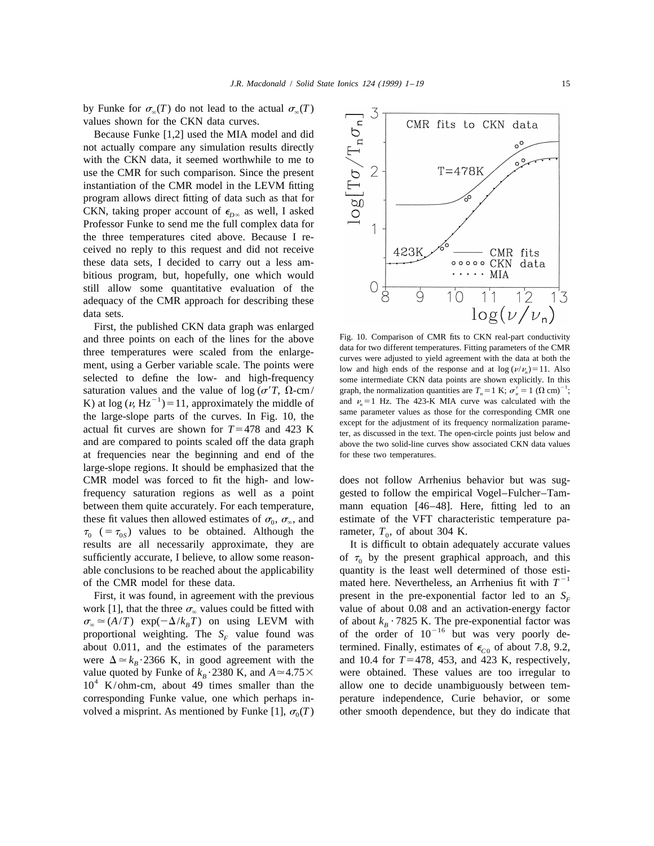by Funke for  $\sigma_{\infty}(T)$  do not lead to the actual  $\sigma_{\infty}(T)$ values shown for the CKN data curves.

Because Funke [1,2] used the MIA model and did not actually compare any simulation results directly with the CKN data, it seemed worthwhile to me to use the CMR for such comparison. Since the present instantiation of the CMR model in the LEVM fitting program allows direct fitting of data such as that for CKN, taking proper account of  $\epsilon_{D^\infty}$  as well, I asked Professor Funke to send me the full complex data for the three temperatures cited above. Because I received no reply to this request and did not receive these data sets, I decided to carry out a less ambitious program, but, hopefully, one which would still allow some quantitative evaluation of the adequacy of the CMR approach for describing these data sets.

First, the published CKN data graph was enlarged and three points on each of the lines for the above<br>three temperatures were scaled from the enlarge-<br>ment, using a Gerber variable scale. The points were<br>selected to define the low- and high-frequency<br>selected to define t saturation values and the value of log ( $\sigma' T$ ,  $\Omega$ -cm/ graph, the normalization quantities are  $T_n = 1$  K;  $\sigma'_n = 1$  ( $\Omega$  cm)<sup>-1</sup>;<br>*K*) at log ( $\nu$  Hz<sup>-1</sup>) = 11 approximately the middle of and  $\nu_n = 1$  Hz. The 423-K MI K) at  $\log (v, Hz^{-1}) = 11$ , approximately the middle of and  $v_n = 1$  Hz. The 423-K MIA curve was calculated with the the Corresponding CMR one the corresponding CMR one the large-slope parts of the curves. In Fig. 10, the<br>actual fit curves are shown for  $T=478$  and  $423$  K<br>actual fit curves are shown for  $T=478$  and  $423$  K<br>being a discussed in the text. The open-circle points just below and are compared to points scaled off the data graph above the two solid-line curves show associated CKN data values at frequencies near the beginning and end of the for these two temperatures. large-slope regions. It should be emphasized that the CMR model was forced to fit the high- and low- does not follow Arrhenius behavior but was sugfrequency saturation regions as well as a point gested to follow the empirical Vogel–Fulcher–Tambetween them quite accurately. For each temperature, mann equation [46–48]. Here, fitting led to an these fit values then allowed estimates of  $\sigma_0$ ,  $\sigma_{\infty}$ , and estimate of the VFT characteristic temperature pa-  $\tau_0$  (=  $\tau_{0}$ ) values to be obtained. Although the rameter,  $T_0$ , of about 304 K.  $\tau_0$  (=  $\tau_{0s}$ ) values to be obtained. Although the results are all necessarily approximate, they are sufficiently accurate, I believe, to allow some reason-<br>able conclusions to be reached about the applicability quantity is the least well determined of those estiof the CMR model for these data. mated here. Nevertheless, an Arrhenius fit with  $T^{-1}$ 

work [1], that the three  $\sigma_{\infty}$  values could be fitted with value of about 0.08 and an activation-energy factor  $\sigma_{\infty} \simeq (A/T)$  exp( $-\Delta/k_{R}T$ ) on using LEVM with of about  $k_{R}$  7825 K. The pre-exponential factor was proportional weighting. The  $S_F$  value found was of the order of  $10^{-16}$  but was very poorly de-<br>about 0.011, and the estimates of the parameters termined. Finally, estimates of  $\epsilon_{C}$  of about 7.8, 9.2, about 0.011, and the estimates of the parameters termined. Finally, estimates of  $\epsilon_{C0}$  of about 7.8, 9.2, were  $\Delta \approx k_R \cdot 2366$  K, in good agreement with the and 10.4 for  $T = 478$ , 453, and 423 K, respectively, were  $\Delta \approx k_B \cdot 2366$  K, in good agreement with the and 10.4 for *T*=478, 453, and 423 K, respectively, value quoted by Funke of  $k_B \cdot 2380$  K, and  $A \approx 4.75 \times$  were obtained. These values are too irregular to value quoted by Funke of  $k_B \cdot 2380$  K, and  $A \approx 4.75 \times 10^4$  K/ohm-cm, about 49 times smaller than the allow one to decide unambiguously between temcorresponding Funke value, one which perhaps in- perature independence, Curie behavior, or some volved a misprint. As mentioned by Funke  $[1]$ ,  $\sigma_0(T)$  other smooth dependence, but they do indicate that



some intermediate CKN data points are shown explicitly. In this graph, the normalization quantities are  $T_n = 1$  K;  $\sigma'_n = 1$  ( $\Omega$  cm)<sup>-1</sup>;

It is difficult to obtain adequately accurate values First, it was found, in agreement with the previous present in the pre-exponential factor led to an  $S<sub>F</sub>$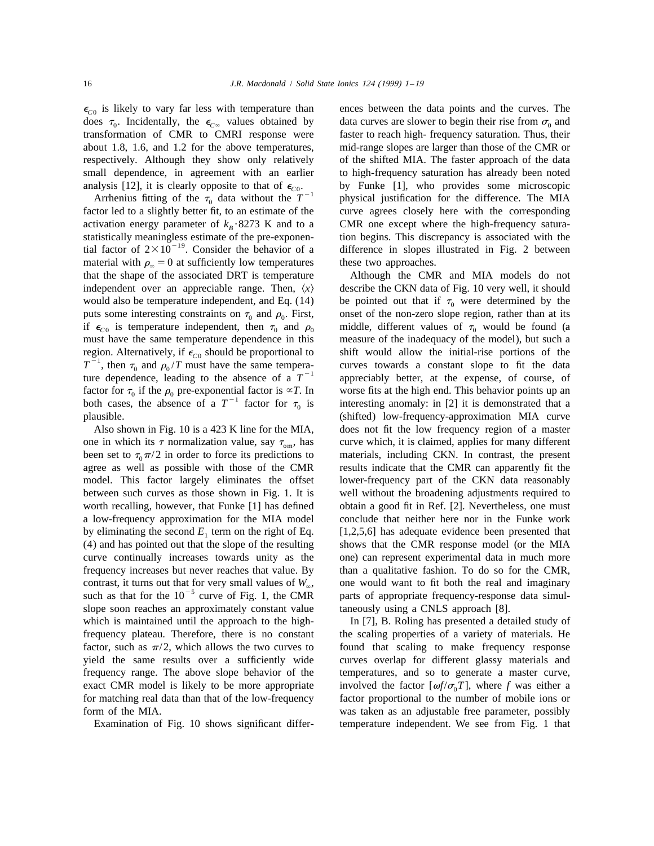$\epsilon_{\text{CO}}$  is likely to vary far less with temperature than ences between the data points and the curves. The

factor led to a slightly better fit, to an estimate of the material with  $\rho_{\infty} = 0$  at sufficiently low temperatures these two approaches. that the shape of the associated DRT is temperature Although the CMR and MIA models do not independent over an appreciable range. Then,  $\langle x \rangle$  describe the CKN data of Fig. 10 very well, it should puts some interesting constraints on  $\tau_0$  and  $\rho_0$ . First, onset of the non-zero slope region, rather than at its if  $\epsilon_{C_0}$  is temperature independent, then  $\tau_0$  and  $\rho_0$  middle, different values of  $\tau_0$  woul if  $\epsilon_{\text{CO}}$  is temperature independent, then  $\tau_0$  and  $\rho_0$ must have the same temperature dependence in this measure of the inadequacy of the model), but such a region. Alternatively, if  $\epsilon_{C0}$  should be proportional to shift would allow the initial-rise portions of the  $T^{-1}$ , then  $\tau_0$  and  $\rho_0/T$  must have the same temperatively is the curves towards a constant slope to fi factor for  $\tau_0$  if the  $\rho_0$  pre-exponential factor is  $\propto T$ . In worse fits at the high end. This behavior points up an both cases, the absence of a  $T^{-1}$  factor for  $\tau_0$  is interesting anomaly: in [2] it is demons plausible. (shifted) low-frequency-approximation MIA curve

one in which its  $\tau$  normalization value, say  $\tau_{\alpha m}$ , has curve which, it is claimed, applies for many different been set to  $\tau_0 \pi/2$  in order to force its predictions to materials, including CKN. In contrast, the present agree as well as possible with those of the CMR results indicate that the CMR can apparently fit the model. This factor largely eliminates the offset lower-frequency part of the CKN data reasonably between such curves as those shown in Fig. 1. It is well without the broadening adjustments required to worth recalling, however, that Funke [1] has defined obtain a good fit in Ref. [2]. Nevertheless, one must a low-frequency approximation for the MIA model conclude that neither here nor in the Funke work by eliminating the second  $E_1$  term on the right of Eq. [1,2,5,6] has adequate evidence been presented that (4) and has pointed out that the slope of the resulting shows that the CMR response model (or the MIA curve continually increases towards unity as the one) can represent experimental data in much more frequency increases but never reaches that value. By than a qualitative fashion. To do so for the CMR, contrast, it turns out that for very small values of  $W_{\infty}$ , one would want to fit both the real and imaginary such as that for the 10<sup>-5</sup> curve of Fig. 1, the CMR parts of appropriate frequency-response data simulslope soon reaches an approximately constant value taneously using a CNLS approach [8]. which is maintained until the approach to the high-<br>In [7], B. Roling has presented a detailed study of frequency plateau. Therefore, there is no constant the scaling properties of a variety of materials. He factor, such as  $\pi/2$ , which allows the two curves to found that scaling to make frequency response yield the same results over a sufficiently wide curves overlap for different glassy materials and frequency range. The above slope behavior of the temperatures, and so to generate a master curve, exact CMR model is likely to be more appropriate involved the factor  $[\omega f/\sigma_{0} T]$ , where f was either a for matching real data than that of the low-frequency factor proportional to the number of mobile ions or

does  $\tau_0$ . Incidentally, the  $\epsilon_{C\infty}$  values obtained by data curves are slower to begin their rise from  $\sigma_0$  and transformation of CMR to CMRI response were faster to reach high- frequency saturation. Thus, their about 1.8, 1.6, and 1.2 for the above temperatures, mid-range slopes are larger than those of the CMR or respectively. Although they show only relatively of the shifted MIA. The faster approach of the data small dependence, in agreement with an earlier to high-frequency saturation has already been noted analysis [12], it is clearly opposite to that of  $\epsilon_{C0}$ .<br>Arrhenius fitting of the  $\tau_0$  data without the  $T^{-1}$  physical justification for the difference. The MIA factor led to a slightly better fit, to an estimate of activation energy parameter of  $k_B \cdot 8273$  K and to a CMR one except where the high-frequency satura-<br>*B* statistically meaningless estimate of the pre-exponen-<br>*B* is associated with the statistically meaningless estimate of the pre-exponen-<br>tion begins. This discrepancy is associated with the tial factor of  $2 \times 10^{-19}$ . Consider the behavior of a difference in slopes illustrated in Fig. 2 between

would also be temperature independent, and Eq. (14) be pointed out that if  $\tau_0$  were determined by the puts some interesting constraints on  $\tau_0$  and  $\rho_0$ . First, onset of the non-zero slope region, rather than at it Also shown in Fig. 10 is a 423 K line for the MIA, does not fit the low frequency region of a master

form of the MIA. was taken as an adjustable free parameter, possibly Examination of Fig. 10 shows significant differ- temperature independent. We see from Fig. 1 that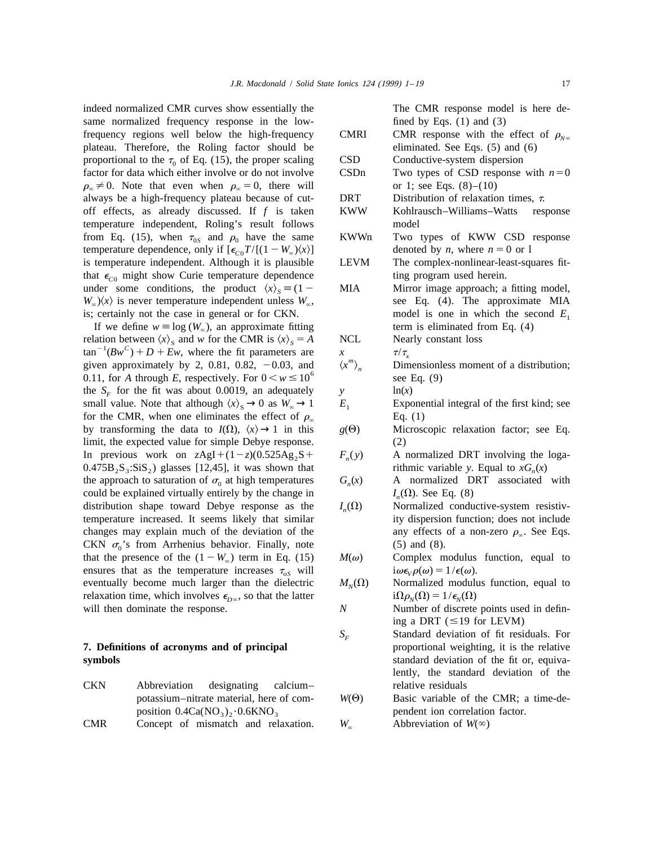indeed normalized CMR curves show essentially the The CMR response model is here desame normalized frequency response in the low- fined by Eqs. (1) and (3) frequency regions well below the high-frequency CMRI CMR response with the effect of  $\rho_{N\infty}$  plateau. Therefore, the Roling factor should be eliminated. See Eqs. (5) and (6) plateau. Therefore, the Roling factor should be proportional to the  $\tau_0$  of Eq. (15), the proper scaling CSD Conductive-system dispersion<br>factor for data which either involve or do not involve CSD Two types of CSD response with  $n=0$ factor for data which either involve or do not involve  $\rho_{\infty} \neq 0$ . Note that even when  $\rho_{\infty} = 0$ , there will or 1; see Eqs. (8)–(10) always be a high-frequency plateau because of cut- DRT Distribution of relaxation times,  $\tau$ . off effects, as already discussed. If *f* is taken KWW Kohlrausch–Williams–Watts response temperature independent, Roling's result follows model from Eq. (15), when  $\tau_{0s}$  and  $\rho_0$  have the same KWWn Two types of KWW CSD response temperature dependence, only if  $[\epsilon_{0}T/[(1-W_{\infty})(x)]$  denoted by *n*, where  $n = 0$  or 1 temperature dependence, only if  $[\epsilon_{C0}T/[(1 - W_{\infty})\langle x\rangle]$  denoted by *n*, where  $n = 0$  or l is temperature independent. Although it is plausible LEVM The complex-nonlinear-least-squares fitis temperature independent. Although it is plausible that  $\epsilon_{C0}$  might show Curie temperature dependence ting program used herein.<br>
under some conditions, the product  $\langle x \rangle_s = (1 - \text{MIA})$  Mirror image approach; a under some conditions, the product  $\langle x \rangle_s = (1 - \text{MA})$  *MIA Mirror image approach; a fitting model, W<sub>a</sub></sup>* $\langle x \rangle$  *is never temperature independent unless <i>W<sub>a</sub>*, *see Eq. (4). The approximate MIA*  $W_{\infty}$ ) $\langle x \rangle$  is never temperature independent unless  $W_{\infty}$ ,

If we define  $w \equiv \log(W_{\infty})$ , an approximate fitting relation between  $\langle x \rangle_s$  and w for the CMR is  $\langle x \rangle_s = A$  NCL relation between  $\langle x \rangle_s$  and w for the CMR is  $\langle x \rangle_s = A$ <br>
tan<sup>-1</sup>(Bw<sup>C</sup>) + D + Ew, where the fit parameters are  $x = \frac{\tau}{\tau_s}$ <br>
given approximately by 2, 0.81, 0.82, -0.03, and  $\langle x'' \rangle_n$  Dimensionless moment of a distribu the *S<sub>F</sub>* for the fit was about 0.0019, an adequately *y* small value. Note that although  $\langle x \rangle_s \rightarrow 0$  as  $W_s \rightarrow 1$  *E*, small value. Note that although  $\langle x \rangle_s \rightarrow 0$  as  $W_\infty \rightarrow 1$  *E*<sub>1</sub> Exponential integral of the first kind; see for the CMR, when one eliminates the effect of  $\rho_{\infty}$  Eq. (1)<br>by transforming the data to  $I(\Omega)$ ,  $\langle x \rangle \rightarrow 1$  in this  $g(\Theta)$  Microscopic relaxation factor; see Eq. by transforming the data to  $I(\Omega)$ ,  $\langle x \rangle \rightarrow 1$  in this limit, the expected value for simple Debye response. (2) In previous work on  $z\text{AgI}+(1-z)(0.525\text{Ag}_2\text{S}+ F_n(y)$  A normalized DRT involving the loga-<br>0.475B, S<sub>3</sub>:SiS<sub>2</sub>) glasses [12,45], it was shown that rithmic variable y. Equal to  $xG_n(x)$  $0.475B_2S_3$ :SiS<sub>2</sub>) glasses [12,45], it was shown that rithmic variable *y*. Equal to *xG<sub>n</sub>*(*x*) the approach to saturation of  $\sigma_0$  at high temperatures  $G_n(x)$  A normalized DRT associated with the approach to saturation of  $\sigma_0$  at high temperatures could be explained virtually entirely by the change in  $I_n(\Omega)$ . See Eq. (8) *n* distribution shape toward Debye response as the  $I_n(\Omega)$  Mormalized conductive-system resistivdistribution shape toward Debye response as the temperature increased. It seems likely that similar ity dispersion function; does not include changes may explain much of the deviation of the any effects of a non-zero  $\rho_{\infty}$ . See Eqs. CKN  $\sigma_0$ 's from Arrhenius behavior. Finally, note (5) and (8). that the presence of the  $(1 - W_\infty)$  term in Eq. (15)  $M(\omega)$  Complex modulus function, equal to ensures that as the temperature increases  $\tau_{\alpha s}$  will  $i\omega \epsilon_\nu \rho(\omega) = 1/\epsilon(\omega)$ . ensures that as the temperature increases  $\tau_{\alpha S}$  will  $i\omega \epsilon_{V}\rho(\omega) = 1/\epsilon(\omega)$ .<br>eventually become much larger than the dielectric  $M_{N}(\Omega)$  Normalized modulus function, equal to eventually become much larger than the dielectric relaxation time, which involves  $\epsilon_{D\infty}$ , so that the latter  $i\Omega \rho_{N}(\Omega) = 1/\epsilon_{N}(\Omega)$ will then dominate the response. **N** Number of discrete points used in defin-

# **7. Definitions of acronyms and of principal**

- CKN Abbreviation designating calcium– relative residuals position 0.4Ca(NO<sub>3</sub>)<sub>2</sub>·0.6KNO<sub>3</sub> pendent ion correlation factor.<br>Concept of mismatch and relaxation.  $W_{\infty}$  Abbreviation of  $W(\infty)$
- CMR Concept of mismatch and relaxation.

- 
- is; certainly not the case in general or for CKN. model is one in which the second  $E_1$ <br>If we define  $w \equiv \log(W_\infty)$ , an approximate fitting term is eliminated from Eq. (4)

$$
x \qquad \qquad \tau/\tau_{x}
$$

$$
\ln(x)
$$

- 
- 
- 
- 
- 
- 
- 
- ing a DRT ( $\leq$ 19 for LEVM)
- *S<sub>F</sub>* Standard deviation of fit residuals. For *proportional weighting, it is the relative* **symbols** standard deviation of the fit or, equivalently, the standard deviation of the
	- potassium–nitrate material, here of com- *W*(Q) Basic variable of the CMR; a time-de-
		-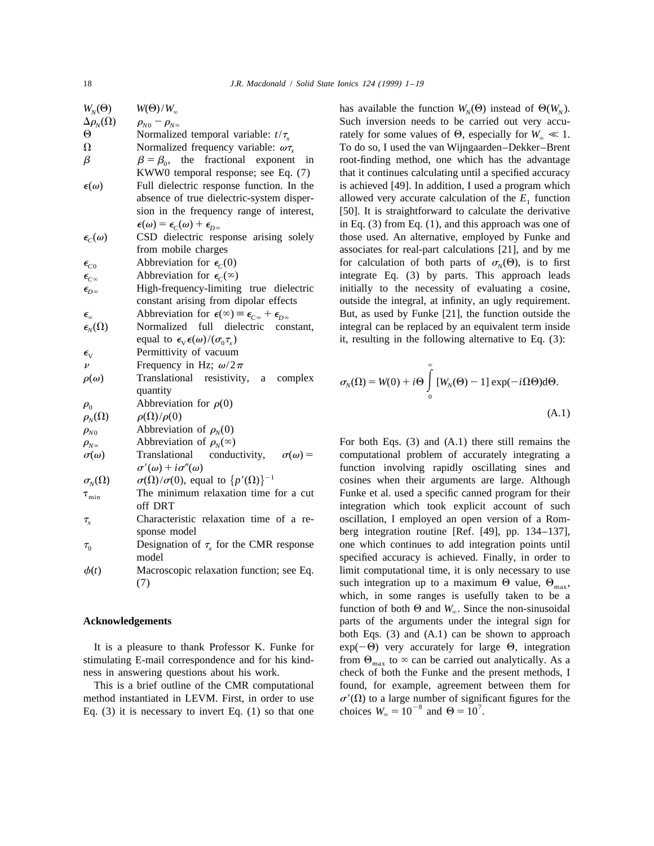| $W_N(\Theta)$                              | $W(\Theta)/W_{\infty}$                                                             | has available the function $W_N(\Theta)$ instead of $\Theta(W_N)$ .                                                                         |
|--------------------------------------------|------------------------------------------------------------------------------------|---------------------------------------------------------------------------------------------------------------------------------------------|
| $\Delta \rho_N(\Omega)$                    | $\rho_{N0}-\rho_{N\infty}$                                                         | Such inversion needs to be carried out very accu-                                                                                           |
| $\Theta$                                   | Normalized temporal variable: $t/\tau_{x}$                                         | rately for some values of $\Theta$ , especially for $W_{\infty} \ll 1$ .                                                                    |
| Ω                                          | Normalized frequency variable: $\omega \tau_x$                                     | To do so, I used the van Wijngaarden-Dekker-Brent                                                                                           |
| $\beta$                                    | $\beta = \beta_0$ , the fractional exponent<br>in                                  | root-finding method, one which has the advantage                                                                                            |
|                                            | KWW0 temporal response; see Eq. (7)                                                | that it continues calculating until a specified accuracy                                                                                    |
| $\epsilon(\omega)$                         | Full dielectric response function. In the                                          | is achieved [49]. In addition, I used a program which                                                                                       |
|                                            | absence of true dielectric-system disper-                                          | allowed very accurate calculation of the $E_1$ function                                                                                     |
|                                            | sion in the frequency range of interest,                                           | [50]. It is straightforward to calculate the derivative                                                                                     |
|                                            | $\epsilon(\omega) = \epsilon_c(\omega) + \epsilon_{D\infty}$                       | in Eq. $(3)$ from Eq. $(1)$ , and this approach was one of                                                                                  |
| $\epsilon_c(\omega)$                       | CSD dielectric response arising solely                                             | those used. An alternative, employed by Funke and                                                                                           |
|                                            | from mobile charges                                                                | associates for real-part calculations [21], and by me                                                                                       |
| $\epsilon_{\scriptscriptstyle C0}$         | Abbreviation for $\epsilon_c(0)$                                                   | for calculation of both parts of $\sigma_N(\Theta)$ , is to first                                                                           |
| $\epsilon_{\scriptscriptstyle C^{\infty}}$ | Abbreviation for $\epsilon_c(\infty)$                                              | integrate Eq. (3) by parts. This approach leads                                                                                             |
| $\epsilon_{\!{}_D\infty}$                  | High-frequency-limiting true dielectric                                            | initially to the necessity of evaluating a cosine,                                                                                          |
|                                            | constant arising from dipolar effects                                              | outside the integral, at infinity, an ugly requirement.                                                                                     |
| $\boldsymbol{\epsilon}_\infty$             | Abbreviation for $\epsilon(\infty) \equiv \epsilon_{C\infty} + \epsilon_{D\infty}$ | But, as used by Funke [21], the function outside the                                                                                        |
| $\epsilon_{N}(\Omega)$                     | Normalized full dielectric<br>constant,                                            | integral can be replaced by an equivalent term inside                                                                                       |
|                                            | equal to $\epsilon_{v} \epsilon(\omega) / (\sigma_{0} \tau_{v})$                   | it, resulting in the following alternative to Eq. $(3)$ :                                                                                   |
| $\epsilon_{\rm V}$                         | Permittivity of vacuum                                                             |                                                                                                                                             |
| $\nu$                                      | Frequency in Hz; $\omega/2\pi$                                                     |                                                                                                                                             |
| $\rho(\omega)$                             | Translational resistivity,<br>complex<br>a<br>quantity                             | $\sigma_{\scriptscriptstyle N}(\Omega) = W(0) + i\Theta \int [W_{\scriptscriptstyle N}(\Theta) - 1] \exp(-i\Omega\Theta) \mathrm{d}\Theta.$ |
| $\rho_{\scriptscriptstyle 0}$              | Abbreviation for $\rho(0)$                                                         |                                                                                                                                             |
| $\rho_{\scriptscriptstyle N}(\Omega)$      | $\rho(\Omega)/\rho(0)$                                                             | (A.1)                                                                                                                                       |
| $\rho_{\scriptscriptstyle N0}$             | Abbreviation of $\rho_N(0)$                                                        |                                                                                                                                             |
| $\rho_{\scriptscriptstyle N}$ <sub>∞</sub> | Abbreviation of $\rho_N(\infty)$                                                   | For both Eqs. $(3)$ and $(A.1)$ there still remains the                                                                                     |
| $\sigma(\omega)$                           | $\sigma(\omega) =$<br>Translational<br>conductivity,                               | computational problem of accurately integrating a                                                                                           |
|                                            | $\sigma'(\omega) + i\sigma''(\omega)$                                              | function involving rapidly oscillating sines and                                                                                            |
| $\sigma_{N}(\Omega)$                       | $\sigma(\Omega)/\sigma(0)$ , equal to $\{p'(\Omega)\}^{-1}$                        | cosines when their arguments are large. Although                                                                                            |
| $\tau_{\rm min}$                           | The minimum relaxation time for a cut                                              | Funke et al. used a specific canned program for their                                                                                       |
|                                            | off DRT                                                                            | integration which took explicit account of such                                                                                             |
| $\tau_{\mathrm{x}}$                        | Characteristic relaxation time of a re-                                            | oscillation, I employed an open version of a Rom-                                                                                           |
|                                            | sponse model                                                                       | berg integration routine [Ref. [49], pp. 134-137],                                                                                          |
| $\tau_{0}$                                 | Designation of $\tau$ <sub>x</sub> for the CMR response                            | one which continues to add integration points until                                                                                         |
|                                            | model                                                                              | specified accuracy is achieved. Finally, in order to                                                                                        |
| $\phi(t)$                                  | Macroscopic relaxation function; see Eq.                                           | limit computational time, it is only necessary to use                                                                                       |
|                                            | (7)                                                                                | such integration up to a maximum $\Theta$ value, $\Theta_{\text{max}}$ ,                                                                    |

$$
\sigma_N(\Omega) = W(0) + i\Theta \int_0^\infty [W_N(\Theta) - 1] \exp(-i\Omega\Theta) d\Theta.
$$
\n(A.1)

For both Eqs. (3) and (A.1) there still remains the computational problem of accurately integrating a function involving rapidly oscillating sines and cosines when their arguments are large. Although Funke et al. used a specific canned program for their integration which took explicit account of such oscillation, I employed an open version of a Romberg integration routine [Ref.  $[49]$ , pp. 134–137], one which continues to add integration points until specified accuracy is achieved. Finally, in order to limit computational time, it is only necessary to use such integration up to a maximum  $\Theta$  value,  $\Theta_{\text{max}}$ , which, in some ranges is usefully taken to be a function of both  $\Theta$  and  $W_{\infty}$ . Since the non-sinusoidal **Acknowledgements Acknowledgements parts** of the arguments under the integral sign for both Eqs. (3) and (A.1) can be shown to approach It is a pleasure to thank Professor K. Funke for  $exp(-\Theta)$  very accurately for large  $\Theta$ , integration stimulating E-mail correspondence and for his kind-<br>from  $\Theta_{\text{max}}$  to  $\infty$  can be carried out analytically. As a ness in answering questions about his work. check of both the Funke and the present methods, I This is a brief outline of the CMR computational found, for example, agreement between them for method instantiated in LEVM. First, in order to use  $\sigma'(\Omega)$  to a large number of significant figures for the Eq. (3) it is necessary to invert Eq. (1) so that one choices  $W_{\infty} = 10^{-8}$  and  $\Theta = 10^{7}$ .